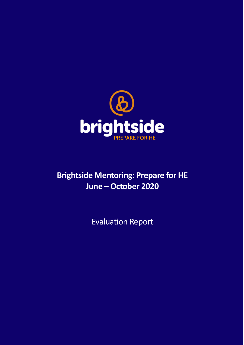

# **Brightside Mentoring: Prepare for HE June – October 2020**

Evaluation Report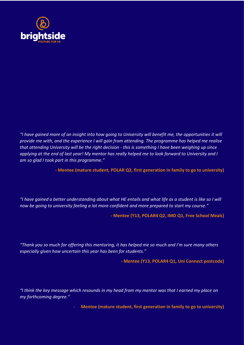

*"I have gained more of an insight into how going to University will benefit me, the opportunities it will provide me with, and the experience I will gain from attending. The programme has helped me realise that attending University will be the right decision - this is something I have been weighing up since applying at the end of last year! My mentor has really helped me to look forward to University and I am so glad I took part in this programme."* 

**- Mentee (mature student, POLAR Q2, first generation in family to go to university)**

*"I have gained a better understanding about what HE entails and what life as a student is like so I will now be going to university feeling a lot more confident and more prepared to start my course."*

**- Mentee (Y13, POLAR4 Q2, IMD Q1, Free School Meals)**

*"Thank you so much for offering this mentoring, it has helped me so much and I'm sure many others especially given how uncertain this year has been for students."*

**- Mentee (Y13, POLAR4 Q1, Uni Connect postcode)**

*"I think the key message which resounds in my head from my mentor was that I earned my place on my forthcoming degree."*

- **Mentee (mature student, first generation in family to go to university)**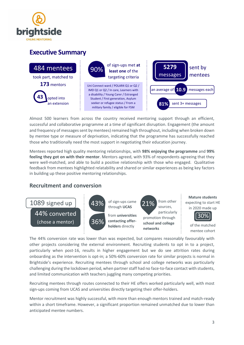

# **Executive Summary**



Almost 500 learners from across the country received mentoring support through an efficient, successful and collaborative programme at a time of significant disruption. Engagement (the amount and frequency of messages sent by mentees) remained high throughout, including when broken down by mentee type or measure of deprivation, indicating that the programme has successfully reached those who traditionally need the most support in negotiating their education journey.

Mentees reported high quality mentoring relationships, with **98% enjoying the programme** and **99% feeling they got on with their mentor**. Mentors agreed, with 93% of respondents agreeing that they were well-matched, and able to build a positive relationship with those who engaged. Qualitative feedback from mentees highlighted relatability and shared or similar experiences as being key factors in building up these positive mentoring relationships.

## **Recruitment and conversion**

mentees

 $(1088 \text{ cm})$  converted  $\frac{1}{2}$ 1089 signed up 44% converted



of sign-ups came through **UCAS** 

from **universities contacting offerholders** directly

particularly<br>
promotion through 30% **school and college networks**  21% from other sources, particularly

**Mature students** expecting to start HE in 2020 made up



of the matched mentee cohort

The 44% conversion rate was lower than was expected, but compares reasonably favourably with other projects considering the external environment. Recruiting students to opt in to a project, particularly when post-16, results in higher engagement but we do see attrition rates during onboarding as the intervention is opt-in; a 50%-60% conversion rate for similar projects is normal in Brightside's experience. Recruiting mentees through school and college networks was particularly challenging during the lockdown period, when partner staff had no face-to-face contact with students, and limited communication with teachers juggling many competing priorities.

Recruiting mentees through routes connected to their HE offers worked particularly well, with most sign-ups coming from UCAS and universities directly targeting their offer-holders.

Mentor recruitment was highly successful, with more than enough mentors trained and match-ready within a short timeframe. However, a significant proportion remained unmatched due to lower than anticipated mentee numbers.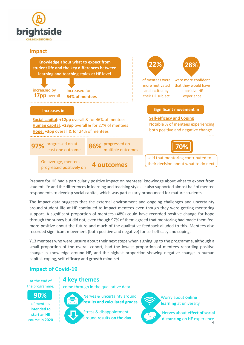

## **Impact**



Prepare for HE had a particularly positive impact on mentees' knowledge about what to expect from student life and the differences in learning and teaching styles. It also supported almost half of mentee respondents to develop social capital, which was particularly pronounced for mature students.

The impact data suggests that the external environment and ongoing challenges and uncertainty around student life at HE continued to impact mentees even though they were getting mentoring support. A significant proportion of mentees (48%) could have recorded positive change for hope through the survey but did not, even though 97% of them agreed that mentoring had made them feel more positive about the future and much of the qualitative feedback alluded to this. Mentees also recorded significant movement (both positive and negative) for self-efficacy and coping.

Y13 mentees who were unsure about their next steps when signing up to the programme, although a small proportion of the overall cohort, had the lowest proportion of mentees recording positive change in knowledge around HE, and the highest proportion showing negative change in human capital, coping, self-efficacy and growth mind-set.

## **Impact of Covid-19**

#### At the end of the programme,

# come through in the qualitative data

## **90%**

of mentees **intended to start an HE course in 2020**



Nerves & uncertainty around **results and calculated grades**



**4 key themes**

Stress & disappointment around **results on the day**



Worry about **online learning** at university

4 Nerves about **effect of social distancing** on HE experience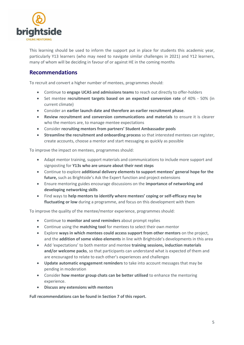

This learning should be used to inform the support put in place for students this academic year, particularly Y13 learners (who may need to navigate similar challenges in 2021) and Y12 learners, many of whom will be deciding in favour of or against HE in the coming months

## **Recommendations**

To recruit and convert a higher number of mentees, programmes should:

- Continue to **engage UCAS and admissions teams** to reach out directly to offer-holders
- Set mentee **recruitment targets based on an expected conversion rate** of 40% 50% (in current climate)
- Consider an **earlier launch date and therefore an earlier recruitment phase**.
- **Review recruitment and conversion communications and materials** to ensure it is clearer who the mentors are, to manage mentee expectations
- Consider **recruiting mentors from partners' Student Ambassador pools**
- **Streamline the recruitment and onboarding process** so that interested mentees can register, create accounts, choose a mentor and start messaging as quickly as possible

To improve the impact on mentees, programmes should:

- Adapt mentor training, support materials and communications to include more support and signposting for **Y13s who are unsure about their next steps**
- Continue to explore **additional delivery elements to support mentees' general hope for the future,** such as Brightside's Ask the Expert function and project extensions
- Ensure mentoring guides encourage discussions on the **importance of networking and developing networking skills**
- Find ways to **help mentors to identify where mentees' coping or self-efficacy may be fluctuating or low** during a programme, and focus on this development with them

To improve the quality of the mentee/mentor experience, programmes should:

- Continue to **monitor and send reminders** about prompt replies
- Continue using the **matching tool** for mentees to select their own mentor
- Explore **ways in which mentees could access support from other mentors** on the project, and the **addition of some video elements** in line with Brightside's developments in this area
- Add 'expectations' to both mentor and mentee **training sessions, induction materials and/or welcome packs**, so that participants can understand what is expected of them and are encouraged to relate to each other's experiences and challenges
- **Update automatic engagement reminders** to take into account messages that may be pending in moderation
- Consider **how mentor group chats can be better utilised** to enhance the mentoring experience.
- **Discuss any extensions with mentors**

**Full recommendations can be found in Section 7 of this report.**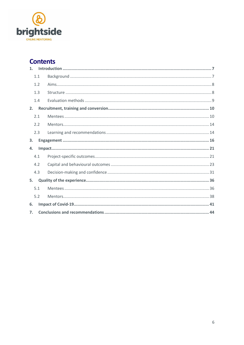

# **Contents**

| 1.  |     |  |
|-----|-----|--|
|     | 1.1 |  |
|     | 1.2 |  |
|     | 1.3 |  |
|     | 1.4 |  |
| 2.  |     |  |
| 2.1 |     |  |
|     | 2.2 |  |
|     | 2.3 |  |
| 3.  |     |  |
| 4.  |     |  |
| 4.1 |     |  |
| 4.2 |     |  |
| 4.3 |     |  |
| 5.  |     |  |
| 5.1 |     |  |
|     | 5.2 |  |
| 6.  |     |  |
| 7.  |     |  |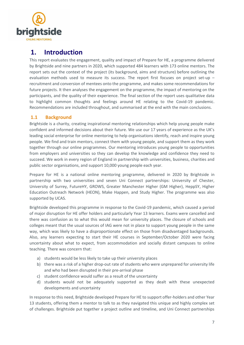

# <span id="page-6-0"></span>**1. Introduction**

This report evaluates the engagement, quality and impact of Prepare for HE, a programme delivered by Brightside and nine partners in 2020, which supported 484 learners with 173 online mentors. The report sets out the context of the project (its background, aims and structure) before outlining the evaluation methods used to measure its success. The report first focuses on project set-up recruitment and conversion of mentees onto the programme, and makes some recommendations for future projects. It then analyses the engagement on the programme, the impact of mentoring on the participants, and the quality of their experience. The final section of the report uses qualitative data to highlight common thoughts and feelings around HE relating to the Covid-19 pandemic. Recommendations are included throughout, and summarised at the end with the main conclusions.

### <span id="page-6-1"></span>**1.1 Background**

Brightside is a charity, creating inspirational mentoring relationships which help young people make confident and informed decisions about their future. We use our 17 years of experience as the UK's leading social enterprise for online mentoring to help organisations identify, reach and inspire young people. We find and train mentors, connect them with young people, and support them as they work together through our online programmes. Our mentoring introduces young people to opportunities from employers and universities so they can develop the knowledge and confidence they need to succeed. We work in every region of England in partnership with universities, business, charities and public sector organisations, and support 10,000 young people each year.

Prepare for HE is a national online mentoring programme, delivered in 2020 by Brightside in partnership with two universities and seven Uni Connect partnerships: University of Chester, University of Surrey, FutureHY, GROWS, Greater Manchester Higher (GM Higher), HeppSY, Higher Education Outreach Network (HEON), Make Happen, and Study Higher. The programme was also supported by UCAS.

Brightside developed this programme in response to the Covid-19 pandemic, which caused a period of major disruption for HE offer holders and particularly Year 13 learners. Exams were cancelled and there was confusion as to what this would mean for university places. The closure of schools and colleges meant that the usual sources of IAG were not in place to support young people in the same way, which was likely to have a disproportionate effect on those from disadvantaged backgrounds. Also, any learners expecting to start their HE courses in September/October 2020 were facing uncertainty about what to expect, from accommodation and socially distant campuses to online teaching. There was concern that:

- a) students would be less likely to take up their university places
- b) there was a risk of a higher drop-out rate of students who were unprepared for university life and who had been disrupted in their pre-arrival phase
- c) student confidence would suffer as a result of the uncertainty
- d) students would not be adequately supported as they dealt with these unexpected developments and uncertainty

In response to this need, Brightside developed Prepare for HE to support offer-holders and other Year 13 students, offering them a mentor to talk to as they navigated this unique and highly complex set of challenges. Brightside put together a project outline and timeline, and Uni Connect partnerships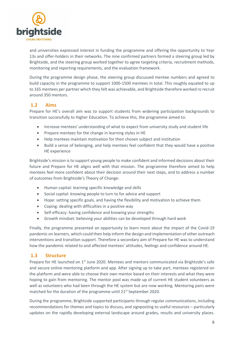

and universities expressed interest in funding the programme and offering the opportunity to Year 13s and offer-holders in their networks. The nine confirmed partners formed a steering group led by Brightside, and the steering group worked together to agree targeting criteria, recruitment methods, monitoring and reporting requirements, and the evaluation framework.

During the programme design phase, the steering group discussed mentee numbers and agreed to build capacity in the programme to support 1000-1500 mentees in total. This roughly equated to up to 165 mentees per partner which they felt was achievable, and Brightside therefore worked ro recruit around 350 mentors.

#### <span id="page-7-0"></span>**1.2 Aims**

Prepare for HE's overall aim was to support students from widening participation backgrounds to transition successfully to Higher Education. To achieve this, the programme aimed to:

- Increase mentees' understanding of what to expect from university study and student life
- Prepare mentees for the change in learning styles in HE
- Help mentees maintain motivation for their chosen subject and institution
- Build a sense of belonging, and help mentees feel confident that they would have a positive HE experience

Brightside's mission is to support young people to make confident and informed decisions about their future and Prepare for HE aligns well with that mission. The programme therefore aimed to help mentees feel more confident about their decision around their next steps, and to address a number of outcomes from Brightside's Theory of Change:

- Human capital: learning specific knowledge and skills
- Social capital: knowing people to turn to for advice and support
- Hope: setting specific goals, and having the flexibility and motivation to achieve them
- Coping: dealing with difficulties in a positive way
- Self-efficacy: having confidence and knowing your strengths
- Growth mindset: believing your abilities can be developed through hard work

Finally, the programme presented an opportunity to learn more about the impact of the Covid-19 pandemic on learners, which could then help inform the design and implementation of other outreach interventions and transition support. Therefore a secondary aim of Prepare for HE was to understand how the pandemic related to and affected mentees' attitudes, feelings and confidence around HE.

#### <span id="page-7-1"></span>**1.3 Structure**

Prepare for HE launched on 1<sup>st</sup> June 2020. Mentees and mentors communicated via Brightside's safe and secure online mentoring platform and app. After signing up to take part, mentees registered on the platform and were able to choose their own mentor based on their interests and what they were hoping to gain from mentoring. The mentor pool was made up of current HE student volunteers as well as volunteers who had been through the HE system but are now working. Mentoring pairs were matched for the duration of the programme until 21<sup>st</sup> September 2020.

During the programme, Brightside supported participants through regular communications, including recommendations for themes and topics to discuss, and signposting to useful resources – particularly updates on the rapidly developing external landscape around grades, results and university places.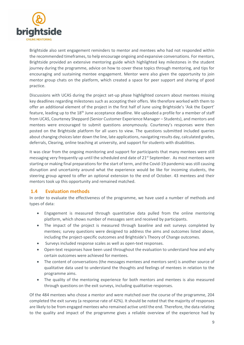

Brightside also sent engagement reminders to mentor and mentees who had not responded within the recommended timeframes, to help encourage ongoing and expansive conversations. For mentors, Brightside provided an extensive mentoring guide which highlighted key milestones in the student journey during the programme, advice on how to cover these topics through mentoring, and tips for encouraging and sustaining mentee engagement. Mentor were also given the opportunity to join mentor group chats on the platform, which created a space for peer support and sharing of good practice.

Discussions with UCAS during the project set-up phase highlighted concern about mentees missing key deadlines regarding milestones such as accepting their offers. We therefore worked with them to offer an additional element of the project in the first half of June using Brightside's 'Ask the Expert' feature, leading up to the 18<sup>th</sup> June acceptance deadline. We uploaded a profile for a member of staff from UCAS, Courteney Sheppard (Senior Customer Experience Manager – Students), and mentors and mentees were encouraged to submit questions anonymously. Courteney's responses were then posted on the Brightside platform for all users to view. The questions submitted included queries about changing choices later down the line, late applications, navigating results day, calculated grades, deferrals, Clearing, online teaching at university, and support for students with disabilities.

It was clear from the ongoing monitoring and support for participants that many mentees were still messaging very frequently up until the scheduled end date of  $21^{st}$  September. As most mentees were starting or making final preparations for the start of term, and the Covid-19 pandemic was still causing disruption and uncertainty around what the experience would be like for incoming students, the steering group agreed to offer an optional extension to the end of October. 43 mentees and their mentors took up this opportunity and remained matched.

#### <span id="page-8-0"></span>**1.4 Evaluation methods**

In order to evaluate the effectiveness of the programme, we have used a number of methods and types of data:

- Engagement is measured through quantitative data pulled from the online mentoring platform, which shows number of messages sent and received by participants.
- The impact of the project is measured through baseline and exit surveys completed by mentees; survey questions were designed to address the aims and outcomes listed above, including the project-specific outcomes and Brightside's Theory of Change outcomes.
- Surveys included response scales as well as open-text responses.
- Open-text responses have been used throughout the evaluation to understand how and why certain outcomes were achieved for mentees.
- The content of conversations (the messages mentees and mentors sent) is another source of qualitative data used to understand the thoughts and feelings of mentees in relation to the programme aims.
- The quality of the mentoring experience for both mentors and mentees is also measured through questions on the exit surveys, including qualitative responses.

Of the 484 mentees who chose a mentor and were matched over the course of the programme, 204 completed the exit survey (a response rate of 42%). It should be noted that the majority of responses are likely to be from engaged mentees who remained active until the end. Therefore, the data relating to the quality and impact of the programme gives a reliable overview of the experience had by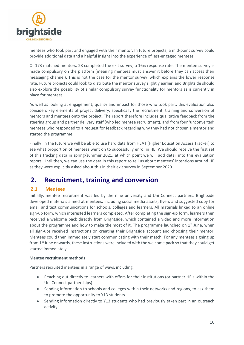

mentees who took part and engaged with their mentor. In future projects, a mid-point survey could provide additional data and a helpful insight into the experience of less-engaged mentees.

Of 173 matched mentors, 28 completed the exit survey, a 16% response rate. The mentee survey is made compulsory on the platform (meaning mentees must answer it before they can access their messaging channel). This is not the case for the mentor survey, which explains the lower response rate. Future projects could look to distribute the mentor survey slightly earlier, and Brightside should also explore the possibility of similar compulsory survey functionality for mentors as is currently in place for mentees.

As well as looking at engagement, quality and impact for those who took part, this evaluation also considers key elements of project delivery, specifically the recruitment, training and conversion of mentors and mentees onto the project. The report therefore includes qualitative feedback from the steering group and partner delivery staff (who led mentee recruitment), and from four 'unconverted' mentees who responded to a request for feedback regarding why they had not chosen a mentor and started the programme.

Finally, in the future we will be able to use hard data from HEAT (Higher Education Access Tracker) to see what proportion of mentees went on to successfully enrol in HE. We should receive the first set of this tracking data in spring/summer 2021, at which point we will add detail into this evaluation report. Until then, we can use the data in this report to tell us about mentees' intentions around HE as they were explicitly asked about this in their exit survey in September 2020.

# <span id="page-9-0"></span>**2. Recruitment, training and conversion**

## <span id="page-9-1"></span>**2.1 Mentees**

Initially, mentee recruitment was led by the nine university and Uni Connect partners. Brightside developed materials aimed at mentees, including social media assets, flyers and suggested copy for email and text communications for schools, colleges and learners. All materials linked to an online sign-up form, which interested learners completed. After completing the sign-up form, learners then received a welcome pack directly from Brightside, which contained a video and more information about the programme and how to make the most of it. The programme launched on  $1<sup>st</sup>$  June, when all sign-ups received instructions on creating their Brightside account and choosing their mentor. Mentees could then immediately start communicating with their match. For any mentees signing up from 1<sup>st</sup> June onwards, these instructions were included with the welcome pack so that they could get started immediately.

#### **Mentee recruitment methods**

Partners recruited mentees in a range of ways, including:

- Reaching out directly to learners with offers for their institutions (or partner HEIs within the Uni Connect partnerships)
- Sending information to schools and colleges within their networks and regions, to ask them to promote the opportunity to Y13 students
- Sending information directly to Y13 students who had previously taken part in an outreach activity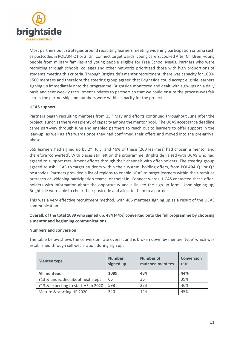

Most partners built strategies around recruiting learners meeting widening participation criteria such as postcodes in POLAR4 Q1 or 2, Uni Connect target wards, young carers, Looked After Children, young people from military families and young people eligible for Free School Meals. Partners who were recruiting through schools, colleges and other networks prioritised those with high proportions of students meeting this criteria. Through Brightside's mentor recruitment, there was capacity for 1000- 1500 mentees and therefore the steering group agreed that Brightside could accept eligible learners signing up immediately onto the programme. Brightside monitored and dealt with sign-ups on a daily basis and sent weekly recruitment updates to partners so that we could ensure the process was fair across the partnership and numbers were within capacity for the project.

#### **UCAS support**

Partners began recruiting mentees from 15<sup>th</sup> May and efforts continued throughout June after the project launch as there was plenty of capacity among the mentor pool. The UCAS acceptance deadline came part-way through June and enabled partners to reach out to learners to offer support in the lead-up, as well as afterwards once they had confirmed their offers and moved into the pre-arrival phase.

569 learners had signed up by 2nd July, and 46% of these (260 learners) had chosen a mentor and therefore 'converted'. With places still left on the programme, Brightside liaised with UCAS who had agreed to support recruitment efforts through their channels with offer-holders. The steering group agreed to ask UCAS to target students within their system, holding offers, from POLAR4 Q1 or Q2 postcodes. Partners provided a list of regions to enable UCAS to target learners within their remit as outreach or widening participation teams, or their Uni Connect wards. UCAS contacted these offerholders with information about the opportunity and a link to the sign-up form. Upon signing up, Brightside were able to check their postcode and allocate them to a partner.

This was a very effective recruitment method, with 466 mentees signing up as a result of the UCAS communication.

**Overall, of the total 1089 who signed up, 484 (44%) converted onto the full programme by choosing a mentor and beginning communications.**

#### **Numbers and conversion**

The table below shows the conversion rate overall, and is broken down by mentee 'type' which was established through self-declaration during sign up:

| <b>Mentee type</b>                  | <b>Number</b><br>signed up | Number of<br>matched mentees | <b>Conversion</b><br>rate |
|-------------------------------------|----------------------------|------------------------------|---------------------------|
| <b>All mentees</b>                  | 1089                       | 484                          | 44%                       |
| Y13 & undecided about next steps    | 66                         | 26                           | 39%                       |
| Y13 & expecting to start HE in 2020 | 598                        | 273                          | 46%                       |
| Mature & starting HE 2020           | 320                        | 144                          | 45%                       |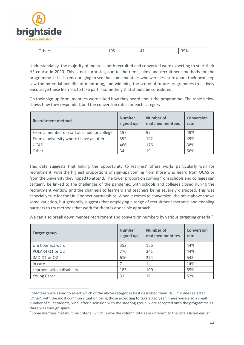

1

| uner- | ᅩ◡ | $\mathbf{\Lambda}$<br>. .<br>. . | 200<br>コフ /0 |
|-------|----|----------------------------------|--------------|
|       |    |                                  |              |

Understandably, the majority of mentees both recruited and converted were expecting to start their HE course in 2020. This is not surprising due to the remit, aims and recruitment methods for the programme. It is also encouraging to see that some mentees who were less sure about their next step saw the potential benefits of mentoring, and widening the scope of future programmes to actively encourage these learners to take part is something that should be considered.

On their sign-up form, mentees were asked how they heard about the programme. The table below shows how they responded, and the conversion rates for each category:

| <b>Recruitment method</b>                   | <b>Number</b><br>signed up | Number of<br>matched mentees | <b>Conversion</b><br>rate |
|---------------------------------------------|----------------------------|------------------------------|---------------------------|
| From a member of staff at school or college | 197                        | 97                           | 49%                       |
| From a university where I have an offer     | 392                        | 192                          | 49%                       |
| <b>UCAS</b>                                 | 466                        | 176                          | 38%                       |
| Other                                       | 34                         | 19                           | 56%                       |

This data suggests that linking the opportunity to learners' offers works particularly well for recruitment, with the highest proportions of sign-ups coming from those who heard from UCAS or from the university they hoped to attend. The lower proportion coming from schools and colleges can certainly be linked to the challenges of the pandemic, with schools and colleges closed during the recruitment window and the channels to learners and teachers being severely disrupted. This was especially true for the Uni Connect partnerships. When it comes to conversion, the table above shows some variation, but generally suggests that employing a range of recruitment methods and enabling partners to try methods that work for them is a sensible approach.

We can also break down mentee recruitment and conversion numbers by various targeting criteria.<sup>2</sup>

| <b>Target group</b>        | <b>Number</b><br>signed up | <b>Number of</b><br>matched mentees | <b>Conversion</b><br>rate |
|----------------------------|----------------------------|-------------------------------------|---------------------------|
| Uni Connect ward           | 352                        | 156                                 | 44%                       |
| POLAR4 Q1 or Q2            | 776                        | 341                                 | 44%                       |
| IMD Q1 or Q2               | 610                        | 274                                 | 54\$                      |
| In care                    |                            |                                     | 14%                       |
| Learners with a disability | 183                        | 100                                 | 55%                       |
| <b>Young Carer</b>         | 31                         | 16                                  | 52%                       |

<sup>&</sup>lt;sup>1</sup> Mentees were asked to select which of the above categories best described them. 105 mentees selected 'Other', with the most common situation being those expecting to take a gap year. There were also a small number of Y12 students, who, after discussion with the steering group, were accepted onto the programme as there was enough space.

<sup>&</sup>lt;sup>2</sup> Some mentees met multiple criteria, which is why the column totals are different to the totals listed earlier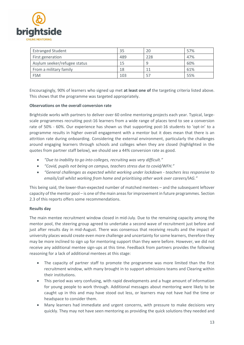

| <b>Estranged Student</b>     | 35  | 20  | 57% |
|------------------------------|-----|-----|-----|
| First generation             | 489 | 228 | 47% |
| Asylum seeker/refugee status | 15  |     | 60% |
| From a military family       | 18  | 11  | 61% |
| <b>FSM</b>                   | 103 | 57  | 55% |

Encouragingly, 90% of learners who signed up met **at least one of** the targeting criteria listed above. This shows that the programme was targeted appropriately.

#### **Observations on the overall conversion rate**

Brightside works with partners to deliver over 60 online mentoring projects each year. Typical, largescale programmes recruiting post-16 learners from a wide range of places tend to see a conversion rate of 50% - 60%. Our experience has shown us that supporting post-16 students to 'opt-in' to a programme results in higher overall engagement with a mentor but it does mean that there is an attrition rate during onboarding. Considering the external environment, particularly the challenges around engaging learners through schools and colleges when they are closed (highlighted in the quotes from partner staff below), we should see a 44% conversion rate as good.

- *"Due to inability to go into colleges, recruiting was very difficult."*
- *"Covid, pupils not being on campus, teachers stress due to covid/WFH."*
- *"General challenges as expected whilst working under lockdown - teachers less responsive to emails/call whilst working from home and prioritising other work over careers/IAG."*

This being said, the lower-than-expected number of matched mentees – and the subsequent leftover capacity of the mentor pool – is one of the main areas for improvement in future programmes. Section 2.3 of this reports offers some recommendations.

#### **Results day**

The main mentee recruitment window closed in mid-July. Due to the remaining capacity among the mentor pool, the steering group agreed to undertake a second wave of recruitment just before and just after results day in mid-August. There was consensus that receiving results and the impact of university places would create even more challenge and uncertainty for some learners, therefore they may be more inclined to sign up for mentoring support than they were before. However, we did not receive any additional mentee sign-ups at this time. Feedback from partners provides the following reasoning for a lack of additional mentees at this stage:

- The capacity of partner staff to promote the programme was more limited than the first recruitment window, with many brought in to support admissions teams and Clearing within their institutions.
- This period was very confusing, with rapid developments and a huge amount of information for young people to work through. Additional messages about mentoring were likely to be caught up in this and may have stood out less, or learners may not have had the time or headspace to consider them.
- Many learners had immediate and urgent concerns, with pressure to make decisions very quickly. They may not have seen mentoring as providing the quick solutions they needed and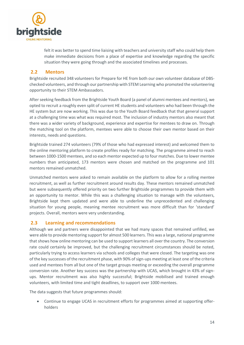

felt it was better to spend time liaising with teachers and university staff who could help them make immediate decisions from a place of expertise and knowledge regarding the specific situation they were going through and the associated timelines and processes.

#### <span id="page-13-0"></span>**2.2 Mentors**

Brightside recruited 348 volunteers for Prepare for HE from both our own volunteer database of DBSchecked volunteers, and through our partnership with STEM Learning who promoted the volunteering opportunity to their STEM Ambassadors.

After seeking feedback from the Brightside Youth Board (a panel of alumni mentees and mentors), we opted to recruit a roughly even split of current HE students and volunteers who had been through the HE system but are now working. This was due to the Youth Board feedback that that general support at a challenging time was what was required most. The inclusion of industry mentors also meant that there was a wider variety of background, experience and expertise for mentees to draw on. Through the matching tool on the platform, mentees were able to choose their own mentor based on their interests, needs and questions.

Brightside trained 274 volunteers (79% of those who had expressed interest) and welcomed them to the online mentoring platform to create profiles ready for matching. The programme aimed to reach between 1000-1500 mentees, and so each mentor expected up to four matches. Due to lower mentee numbers than anticipated, 173 mentors were chosen and matched on the programme and 101 mentors remained unmatched.

Unmatched mentors were asked to remain available on the platform to allow for a rolling mentee recruitment, as well as further recruitment around results day. These mentors remained unmatched but were subsequently offered priority on two further Brightside programmes to provide them with an opportunity to mentor. While this was a challenging situation to manage with the volunteers, Brightside kept them updated and were able to underline the unprecedented and challenging situation for young people, meaning mentee recruitment was more difficult than for 'standard' projects. Overall, mentors were very understanding.

#### <span id="page-13-1"></span>**2.3 Learning and recommendations**

Although we and partners were disappointed that we had many spaces that remained unfilled, we were able to provide mentoring support for almost 500 learners. This was a large, national programme that shows how online mentoring can be used to support learners all over the country. The conversion rate could certainly be improved, but the challenging recruitment circumstances should be noted, particularly trying to access learners via schools and colleges that were closed. The targeting was one of the key successes of the recruitment phase, with 90% of sign-ups meeting at least one of the criteria used and mentees from all but one of the target groups meeting or exceeding the overall programme conversion rate. Another key success was the partnership with UCAS, which brought in 43% of signups. Mentor recruitment was also highly successful; Brightside mobilised and trained enough volunteers, with limited time and tight deadlines, to support over 1000 mentees.

The data suggests that future programmes should:

 Continue to engage UCAS in recruitment efforts for programmes aimed at supporting offerholders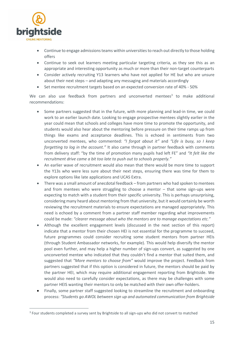

1

- Continue to engage admissions teams within universities to reach out directly to those holding offers
- Continue to seek out learners meeting particular targeting criteria, as they see this as an appropriate and interesting opportunity as much or more than their non-target counterparts
- Consider actively recruiting Y13 learners who have not applied for HE but who are unsure about their next steps – and adapting any messaging and materials accordingly
- Set mentee recruitment targets based on an expected conversion rate of 40% 50%

We can also use feedback from partners and unconverted mentees<sup>3</sup> to make additional recommendations:

- Some partners suggested that in the future, with more planning and lead-in time, we could work to an earlier launch date. Looking to engage prospective mentees slightly earlier in the year could mean that schools and colleges have more time to promote the opportunity, and students would also hear about the mentoring before pressure on their time ramps up from things like exams and acceptance deadlines. This is echoed in sentiments from two unconverted mentees, who commented: *"I forgot about it"* and *"Life is busy, so I keep forgetting to log in the account."* It also came through in partner feedback with comments from delivery staff: "by the time of promotion many pupils had left FE" and *"It felt like the recruitment drive came a bit too late to push out to schools properly."*
- An earlier wave of recruitment would also mean that there would be more time to support the Y13s who were less sure about their next steps, ensuring there was time for them to explore options like late applications and UCAS Extra.
- There was a small amount of anecdotal feedback from partners who had spoken to mentees and from mentees who were struggling to choose a mentor – that some sign-ups were expecting to match with a student from their specific university. This is perhaps unsurprising, considering many heard about mentoring from that university, but it would certainly be worth reviewing the recruitment materials to ensure expectations are managed appropriately. This need is echoed by a comment from a partner staff member regarding what improvements could be made: *"clearer message about who the mentors are to manage expectations etc."*
- Although the excellent engagement levels (discussed in the next section of this report) indicate that a mentor from their chosen HEI is not essential for the programme to succeed, future programmes could consider recruiting some student mentors from partner HEIs (through Student Ambassador networks, for example). This would help diversify the mentor pool even further, and may help a higher number of sign-ups convert, as suggested by one unconverted mentee who indicated that they couldn't find a mentor that suited them, and suggested that *"More mentors to choose from"* would improve the project. Feedback from partners suggested that if this option is considered in future, the mentors should be paid by the partner HEI, which may require additional engagement reporting from Brightside. We would also need to carefully consider expectations, as there may be challenges with some partner HEIS wanting their mentors to only be matched with their own offer-holders.
- Finally, some partner staff suggested looking to streamline the recruitment and onboarding process: *"Students go AWOL between sign up and automated communication from Brightside*

<sup>&</sup>lt;sup>3</sup> Four students completed a survey sent by Brightside to all sign-ups who did not convert to matched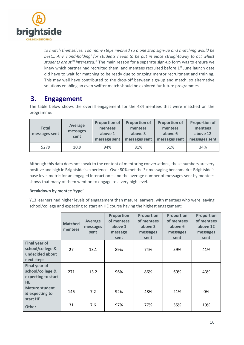

*to match themselves. Too many steps involved so a one stop sign-up and matching would be best… Any 'hand-holding' for students needs to be put in place straightaway to act whilst students are still interested."* The main reason for a separate sign-up form was to ensure we knew which partner had recruited them, and mentees recruited before 1<sup>st</sup> June launch date did have to wait for matching to be ready due to ongoing mentor recruitment and training. This may well have contributed to the drop-off between sign-up and match, so alternative solutions enabling an even swifter match should be explored fur future programmes.

# <span id="page-15-0"></span>**3. Engagement**

The table below shows the overall engagement for the 484 mentees that were matched on the programme:

| <b>Total</b><br>messages sent | <b>Average</b><br>messages<br>sent | <b>Proportion of</b><br>mentees<br>above 1<br>message sent | <b>Proportion of</b><br>mentees<br>above 3<br>messages sent | <b>Proportion of</b><br>mentees<br>above 6<br>messages sent | <b>Proportion of</b><br>mentees<br>above 12<br>messages sent |
|-------------------------------|------------------------------------|------------------------------------------------------------|-------------------------------------------------------------|-------------------------------------------------------------|--------------------------------------------------------------|
| 5279                          | 10.9                               | 94%                                                        | 81%                                                         | 61%                                                         | 34%                                                          |

Although this data does not speak to the content of mentoring conversations, these numbers are very positive and high in Brightside's experience. Over 80% met the 3+ messaging benchmark – Brightside's base level metric for an engaged interaction – and the average number of messages sent by mentees shows that many of them went on to engage to a very high level.

#### **Breakdown by mentee 'type'**

Y13 learners had higher levels of engagement than mature learners, with mentees who were leaving school/college and expecting to start an HE course having the highest engagement:

|                                                                             | <b>Matched</b><br>mentees | Average<br>messages<br>sent | <b>Proportion</b><br>of mentees<br>above 1<br>message<br>sent | <b>Proportion</b><br>of mentees<br>above 3<br>messages<br>sent | <b>Proportion</b><br>of mentees<br>above 6<br>messages<br>sent | <b>Proportion</b><br>of mentees<br>above 12<br>messages<br>sent |
|-----------------------------------------------------------------------------|---------------------------|-----------------------------|---------------------------------------------------------------|----------------------------------------------------------------|----------------------------------------------------------------|-----------------------------------------------------------------|
| Final year of<br>school/college &<br>undecided about<br>next steps          | 27                        | 13.1                        | 89%                                                           | 74%                                                            | 59%                                                            | 41%                                                             |
| <b>Final year of</b><br>school/college &<br>expecting to start<br><b>HE</b> | 271                       | 13.2                        | 96%                                                           | 86%                                                            | 69%                                                            | 43%                                                             |
| <b>Mature student</b><br>& expecting to<br>start HE                         | 146                       | 7.2                         | 92%                                                           | 48%                                                            | 21%                                                            | 0%                                                              |
| <b>Other</b>                                                                | 31                        | 7.6                         | 97%                                                           | 77%                                                            | 55%                                                            | 19%                                                             |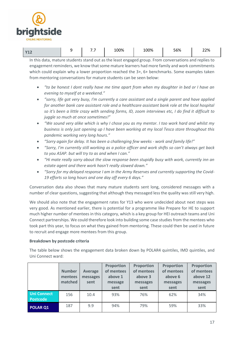

| . | - | - -<br>$\cdot$ . $\cdot$ | 100% | 100% | 56% | 22% |
|---|---|--------------------------|------|------|-----|-----|
|---|---|--------------------------|------|------|-----|-----|

In this data, mature students stand out as the least engaged group. From conversations and replies to engagement reminders, we know that some mature learners had more family and work commitments which could explain why a lower proportion reached the 3+, 6+ benchmarks. Some examples taken from mentoring conversations for mature students can be seen below:

- *"to be honest I dont really have me time apart from when my daughter in bed or I have an evening to myself at a weekend."*
- *"sorry, life got very busy, I'm currently a care assistant and a single parent and have applied for another bank care assistant role and a healthcare assistant bank role at the local hospital so it's been a little crazy with sending forms, ID, zoom interviews etc, I do find it difficult to juggle so much at once sometimes!"*
- *"We sound very alike which is why I chose you as my mentor. I too work hard and whilst my business is only just opening up I have been working at my local Tesco store throughout this pandemic working very long hours."*
- *"Sorry again for delay. It has been a challenging few weeks - work and family life!"*
- *"Sorry, I'm currently still working as a police officer and work shifts so can't always get back to you ASAP. but will try to as and when I can."*
- *"Hi mate really sorry about the slow response been stupidly busy with work, currently inn an estate agent and there work hasn't really slowed down."*
- *"Sorry for my delayed response I am in the Army Reserves and currently supporting the Covid-19 efforts so long hours and one day off every 6 days."*

Conversation data also shows that many mature students sent long, considered messages with a number of clear questions, suggesting that although they messaged less the quality was still very high.

We should also note that the engagement rates for Y13 who were undecided about next steps was very good. As mentioned earlier, there is potential for a programme like Prepare for HE to support much higher number of mentees in this category, which is a key group for HEI outreach teams and Uni Connect partnerships. We could therefore look into building some case studies from the mentees who took part this year, to focus on what they gained from mentoring. These could then be used in future to recruit and engage more mentees from this group.

#### **Breakdown by postcode criteria**

The table below shows the engagement data broken down by POLAR4 quintiles, IMD quintiles, and Uni Connect ward:

|                                       | <b>Number</b><br>mentees<br>matched | Average<br>messages<br>sent | <b>Proportion</b><br>of mentees<br>above 1<br>message<br>sent | Proportion<br>of mentees<br>above 3<br>messages<br>sent | Proportion<br>of mentees<br>above 6<br>messages<br>sent | Proportion<br>of mentees<br>above 12<br>messages<br>sent |
|---------------------------------------|-------------------------------------|-----------------------------|---------------------------------------------------------------|---------------------------------------------------------|---------------------------------------------------------|----------------------------------------------------------|
| <b>Uni Connect</b><br><b>Postcode</b> | 156                                 | 10.4                        | 93%                                                           | 76%                                                     | 62%                                                     | 34%                                                      |
| POLAR Q1                              | 187                                 | 9.9                         | 94%                                                           | 79%                                                     | 59%                                                     | 33%                                                      |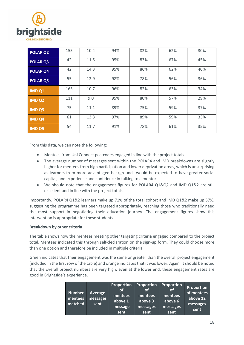

| <b>POLAR Q2</b>   | 155 | 10.4 | 94% | 82% | 62% | 30% |
|-------------------|-----|------|-----|-----|-----|-----|
| <b>POLAR Q3</b>   | 42  | 11.5 | 95% | 83% | 67% | 45% |
| POLAR Q4          | 42  | 14.3 | 95% | 86% | 62% | 40% |
| <b>POLAR Q5</b>   | 55  | 12.9 | 98% | 78% | 56% | 36% |
| IMD <sub>Q1</sub> | 163 | 10.7 | 96% | 82% | 63% | 34% |
| <b>IMD Q2</b>     | 111 | 9.0  | 95% | 80% | 57% | 29% |
| <b>IMD Q3</b>     | 75  | 11.1 | 89% | 75% | 59% | 37% |
| <b>IMD Q4</b>     | 61  | 13.3 | 97% | 89% | 59% | 33% |
| <b>IMD Q5</b>     | 54  | 11.7 | 91% | 78% | 61% | 35% |

From this data, we can note the following:

- Mentees from Uni Connect postcodes engaged in line with the project totals.
- The average number of messages sent within the POLAR4 and IMD breakdowns are slightly higher for mentees from high participation and lower deprivation areas, which is unsurprising as learners from more advantaged backgrounds would be expected to have greater social capital, and experience and confidence in talking to a mentor.
- We should note that the engagement figures for POLAR4 Q1&Q2 and IMD Q1&2 are still excellent and in line with the project totals.

Importantly, POLAR4 Q1&2 learners make up 71% of the total cohort and IMD Q1&2 make up 57%, suggesting the programme has been targeted appropriately, reaching those who traditionally need the most support in negotiating their education journey. The engagement figures show this intervention is appropriate for these students

#### **Breakdown by other criteria**

The table shows how the mentees meeting other targeting criteria engaged compared to the project total. Mentees indicated this through self-declaration on the sign-up form. They could choose more than one option and therefore be included in multiple criteria.

Green indicates that their engagement was the same or greater than the overall project engagement (included in the first row of the table) and orange indicates that it was lower. Again, it should be noted that the overall project numbers are very high; even at the lower end, these engagement rates are good in Brightside's experience.

|  | <b>Number</b><br>mentees<br>matched | <b>Average</b><br>messages<br>sent | Proportion<br>οf<br>mentees<br>above 1<br>message<br>sent | Proportion<br>οf<br>mentees<br>above 3<br>messages<br>sent | Proportion<br><b>of</b><br>mentees<br>above 6<br>messages<br>sent | <b>Proportion</b><br>of mentees<br>above 12<br>messages<br>sent |
|--|-------------------------------------|------------------------------------|-----------------------------------------------------------|------------------------------------------------------------|-------------------------------------------------------------------|-----------------------------------------------------------------|
|--|-------------------------------------|------------------------------------|-----------------------------------------------------------|------------------------------------------------------------|-------------------------------------------------------------------|-----------------------------------------------------------------|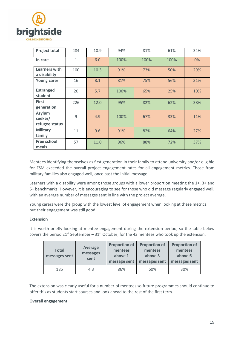

| <b>Project total</b>                       | 484          | 10.9 | 94%  | 81%  | 61%  | 34%   |
|--------------------------------------------|--------------|------|------|------|------|-------|
| In care                                    | $\mathbf{1}$ | 6.0  | 100% | 100% | 100% | $0\%$ |
| Learners with<br>a disability              | 100          | 10.3 | 91%  | 73%  | 50%  | 29%   |
| <b>Young carer</b>                         | 16           | 8.1  | 81%  | 75%  | 56%  | 31%   |
| <b>Estranged</b><br>student                | 20           | 5.7  | 100% | 65%  | 25%  | 10%   |
| <b>First</b><br>generation                 | 226          | 12.0 | 95%  | 82%  | 62%  | 38%   |
| <b>Asylum</b><br>seeker/<br>refugee status | 9            | 4.9  | 100% | 67%  | 33%  | 11%   |
| <b>Military</b><br>family                  | 11           | 9.6  | 91%  | 82%  | 64%  | 27%   |
| <b>Free school</b><br>meals                | 57           | 11.0 | 96%  | 88%  | 72%  | 37%   |

Mentees identifying themselves as first generation in their family to attend university and/or eligible for FSM exceeded the overall project engagement rates for all engagement metrics. Those from military families also engaged well, once past the initial message.

Learners with a disability were among those groups with a lower proportion meeting the 1+, 3+ and 6+ benchmarks. However, it is encouraging to see for those who did message regularly engaged well, with an average number of messages sent in line with the project average.

Young carers were the group with the lowest level of engagement when looking at these metrics, but their engagement was still good.

#### **Extension**

It is worth briefly looking at mentee engagement during the extension period, so the table below covers the period 21st September –  $31<sup>st</sup>$  October, for the 43 mentees who took up the extension:

| <b>Total</b><br>messages sent | Average<br>messages<br>sent | <b>Proportion of</b><br>mentees<br>above 1<br>message sent | <b>Proportion of</b><br>mentees<br>above 3<br>messages sent | <b>Proportion of</b><br>mentees<br>above 6<br>messages sent |
|-------------------------------|-----------------------------|------------------------------------------------------------|-------------------------------------------------------------|-------------------------------------------------------------|
| 185                           | 4.3                         | 86%                                                        | 60%                                                         | 30%                                                         |

The extension was clearly useful for a number of mentees so future programmes should continue to offer this as students start courses and look ahead to the rest of the first term.

#### **Overall engagement**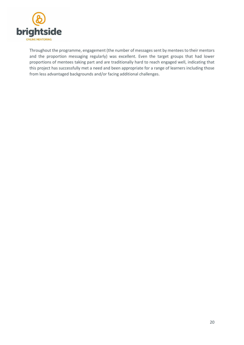

Throughout the programme, engagement (the number of messages sent by mentees to their mentors and the proportion messaging regularly) was excellent. Even the target groups that had lower proportions of mentees taking part and are traditionally hard to reach engaged well, indicating that this project has successfully met a need and been appropriate for a range of learners including those from less advantaged backgrounds and/or facing additional challenges.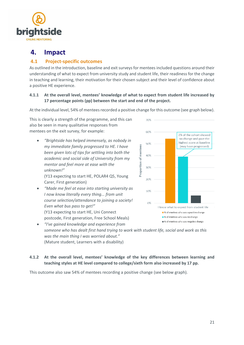

# <span id="page-20-0"></span>**4. Impact**

## <span id="page-20-1"></span>**4.1 Project-specific outcomes**

As outlined in the introduction, baseline and exit surveys for mentees included questions around their understanding of what to expect from university study and student life, their readiness for the change in teaching and learning, their motivation for their chosen subject and their level of confidence about a positive HE experience.

#### **4.1.1 At the overall level, mentees' knowledge of what to expect from student life increased by 17 percentage points (pp) between the start and end of the project.**

At the individual level, 54% of mentees recorded a positive change for this outcome (see graph below).

This is clearly a strength of the programme, and this can also be seen in many qualitative responses from mentees on the exit survey, for example:

 *"Brightside has helped immensely, as nobody in my immediate family progressed to HE. I have been given lots of tips for settling into both the academic and social side of University from my mentor and feel more at ease with the unknown!"* 

(Y13 expecting to start HE, POLAR4 Q5, Young Carer, First generation)

 *"Made me feel at ease into starting university as I now know literally every thing... from unit course selection/attendance to joining a society! Even what bus pass to get!"*  (Y13 expecting to start HE, Uni Connect postcode, First generation, Free School Meals)



 *"I've gained knowledge and experience from someone who has dealt first hand trying to work with student life, social and work as this was the main thing I was worried about."* (Mature student, Learners with a disability)

#### **4.1.2 At the overall level, mentees' knowledge of the key differences between learning and teaching styles at HE level compared to college/sixth form also increased by 17 pp.**

This outcome also saw 54% of mentees recording a positive change (see below graph).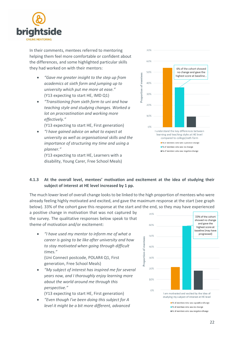

In their comments, mentees referred to mentoring helping them feel more comfortable or confident about the differences, and some highlighted particular skills they had worked on with their mentors:

- *"Gave me greater insight to the step up from academics at sixth form and jumping up to university which put me more at ease."* (Y13 expecting to start HE, IMD Q1)
- *"Transitioning from sixth form to uni and how teaching style and studying changes. Worked a lot on procrastination and working more effectively."*

(Y13 expecting to start HE, First generation)

 *"I have gained advice on what to expect at university as well as organisational skills and the importance of structuring my time and using a planner."*

(Y13 expecting to start HE, Learners with a disability, Young Carer, Free School Meals)



#### **4.1.3 At the overall level, mentees' motivation and excitement at the idea of studying their subject of interest at HE level increased by 1 pp.**

The much lower level of overall change looks to be linked to the high proportion of mentees who were already feeling highly motivated and excited, and gave the maximum response at the start (see graph below). 33% of the cohort gave this response at the start and the end, so they may have experienced

a positive change in motivation that was not captured by the survey. The qualitative responses below speak to that theme of motivation and/or excitement:

 *"I have used my mentor to inform me of what a career is going to be like after university and how to stay motivated when going through difficult times."*

(Uni Connect postcode, POLAR4 Q1, First generation, Free School Meals)

 *"My subject of interest has inspired me for several years now, and I thoroughly enjoy learning more about the world around me through this perspective."*

(Y13 expecting to start HE, First generation)

 *"Even though I've been doing this subject for A level it might be a bit more different, advanced* 

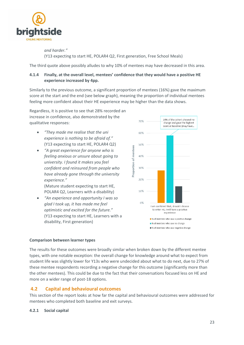

*and harder."* (Y13 expecting to start HE, POLAR4 Q2, First generation, Free School Meals)

The third quote above possibly alludes to why 10% of mentees may have decreased in this area.

#### **4.1.4 Finally, at the overall level, mentees' confidence that they would have a positive HE experience increased by 4pp.**

Similarly to the previous outcome, a significant proportion of mentees (16%) gave the maximum score at the start and the end (see below graph), meaning the proportion of individual mentees feeling more confident about their HE experience may be higher than the data shows.

Regardless, it is positive to see that 28% recorded an increase in confidence, also demonstrated by the qualitative responses:

- *"They made me realise that the uni experience is nothing to be afraid of."* (Y13 expecting to start HE, POLAR4 Q2)
- *"A great experience for anyone who is feeling anxious or unsure about going to university. I found it makes you feel confident and reinsured from people who have already gone through the university experience."*

(Mature student expecting to start HE, POLAR4 Q2, Learners with a disability)

 *"An experience and opportunity I was so glad I took up, it has made me feel optimistic and excited for the future."*  (Y13 expecting to start HE, Learners with a disability, First generation)



#### **Comparison between learner types**

The results for these outcomes were broadly similar when broken down by the different mentee types, with one notable exception: the overall change for knowledge around what to expect from student life was slightly lower for Y13s who were undecided about what to do next, due to 27% of these mentee respondents recording a negative change for this outcome (significantly more than the other mentees). This could be due to the fact that their conversations focused less on HE and more on a wider range of post-18 options.

## <span id="page-22-0"></span>**4.2 Capital and behavioural outcomes**

This section of the report looks at how far the capital and behavioural outcomes were addressed for mentees who completed both baseline and exit surveys.

#### **4.2.1 Social capital**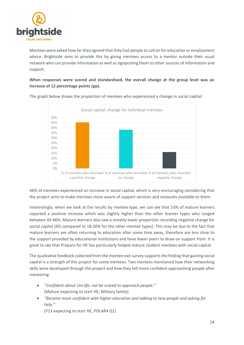

Mentees were asked how far they agreed that they had people to call on for education or employment advice. Brightside aims to provide this by giving mentees access to a mentor outside their usual network who can provide information as well as signposting them to other sources of information and support.

**When responses were scored and standardised, the overall change at the group level was an increase of 12 percentage points (pp).** 



The graph below shows the proportion of mentees who experienced a change in social capital:

46% of mentees experienced an increase in social capital, which is very encouraging considering that the project aims to make mentees more aware of support services and networks available to them.

Interestingly, when we look at the results by mentee type, we can see that 53% of mature learners reported a positive increase which was slightly higher than the other learner types who ranged between 43-46%. Mature learners also saw a notably lower proportion recording negative change for social capital (6% compared to 18-20% for the other mentee types). This may be due to the fact that mature learners are often returning to education after some time away, therefore are less close to the support provided by educational institutions and have fewer peers to draw on support from. It is great to see that Prepare for HE has particularly helped mature student mentees with social capital.

The qualitative feedback collected from the mentee exit survey supports the finding that gaining social capital is a strength of this project for some mentees. Two mentees mentioned how their networking skills were developed through the project and how they felt more confident approaching people after mentoring.

- *"Confident about Uni life, not be scared to approach people."* (Mature expecting to start HE, Military family)
- *"Became more confident with higher education and talking to new people and asking for help."*

(Y13 expecting to start HE, POLAR4 Q1)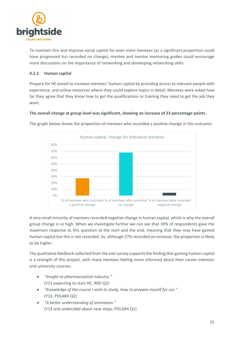

To maintain this and improve social capital for even more mentees (as a significant proportion could have progressed but recorded no change), mentee and mentor mentoring guides could encourage more discussions on the importance of networking and developing networking skills.

#### **4.2.2 Human capital**

Prepare for HE aimed to increase mentees' human capital by providing access to relevant people with experience, and online resources where they could explore topics in detail. Mentees were asked how far they agree that they know how to get the qualifications or training they need to get the job they want.

#### **The overall change at group level was significant, showing an increase of 23 percentage points.**



The graph below shows the proportion of mentees who recorded a positive change in this outcome:

A very small minority of mentees recorded negative change in human capital, which is why the overall group change is so high. When we investigate further we can see that 39% of respondents gave the maximum response to this question at the start and the end, meaning that they may have gained human capital but this is not recorded. So, although 27% recorded an increase, the proportion is likely to be higher.

The qualitative feedback collected from the exit survey supports the finding that gaining human capital is a strength of this project, with many mentees feeling more informed about their career interests and university courses:

- *"Insight to pharmaceutical industry."* (Y13 expecting to start HE, IMD Q2)
- *"Knowledge of the course I wish to study, how to prepare myself for uni."* (Y12, POLAR4 Q2)
- *"A better understanding of animation."* (Y13 and undecided about next steps, POLAR4 Q1)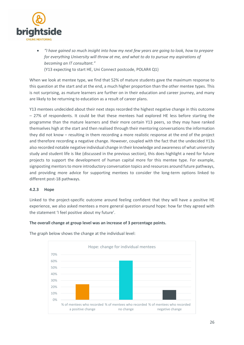

 *"I have gained so much insight into how my next few years are going to look, how to prepare for everything University will throw at me, and what to do to pursue my aspirations of becoming an IT consultant."* (Y13 expecting to start HE, Uni Connect postcode, POLAR4 Q1)

When we look at mentee type, we find that 52% of mature students gave the maximum response to this question at the start and at the end, a much higher proportion than the other mentee types. This is not surprising, as mature learners are further on in their education and career journey, and many are likely to be returning to education as a result of career plans.

Y13 mentees undecided about their next steps recorded the highest negative change in this outcome – 27% of respondents. It could be that these mentees had explored HE less before starting the programme than the mature learners and their more certain Y13 peers, so they may have ranked themselves high at the start and then realised through their mentoring conversations the information they did not know – resulting in them recording a more realistic response at the end of the project and therefore recording a negative change. However, coupled with the fact that the undecided Y13s also recorded notable negative individual change in their knowledge and awareness of what university study and student life is like (discussed in the previous section), this does highlight a need for future projects to support the development of human capital more for this mentee type. For example, signposting mentors to more introductory conversation topics and resources around future pathways, and providing more advice for supporting mentees to consider the long-term options linked to different post-18 pathways.

#### **4.2.3 Hope**

Linked to the project-specific outcome around feeling confident that they will have a positive HE experience, we also asked mentees a more general question around hope: how far they agreed with the statement 'I feel positive about my future'.

#### **The overall change at group level was an increase of 3 percentage points.**



The graph below shows the change at the individual level: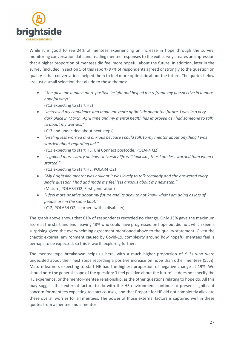

While it is good to see 24% of mentees experiencing an increase in hope through the survey, monitoring conversation data and reading mentee responses to the exit survey creates an impression that a higher proportion of mentees did feel more hopeful about the future. In addition, later in the survey (included in section 5 of this report) 97% of respondents agreed or strongly to the question on quality – that conversations helped them to feel more optimistic about the future. The quotes below are just a small selection that allude to these themes:

 *"She gave me a much more positive insight and helped me reframe my perspective in a more hopeful way!"*

(Y13 expecting to start HE)

 *"Increased my confidence and made me more optimistic about the future. I was in a very dark place in March, April time and my mental health has improved as I had someone to talk to about my worries."*

(Y13 and undecided about next steps)

 *"Feeling less worried and anxious because I could talk to my mentor about anything I was worried about regarding uni."*

(Y13 expecting to start HE, Uni Connect postcode, POLAR4 Q2)

 *"I gained more clarity on how University life will look like, thus I am less worried than when I started."*

(Y13 expecting to start HE, POLAR4 Q2)

- *"My Brightside mentor was brilliant it was lovely to talk regularly and she answered every single question I had and made me feel less anxious about my next step."* (Mature, POLAR4 Q2, First generation)
- *"I feel more positive about my future and its okay to not know what I am doing as lots of people are in the same boat."* (Y12, POLAR4 Q2, Learners with a disability)

The graph above shows that 61% of respondents recorded no change. Only 13% gave the maximum score at the start and end, leaving 48% who could have progressed on hope but did not, which seems surprising given the overwhelming agreement mentioned above to the quality statement. Given the chaotic external environment caused by Covid-19, complexity around how hopeful mentees feel is perhaps to be expected, so this is worth exploring further.

The mentee type breakdown helps us here, with a much higher proportion of Y13s who were undecided about their next steps recording a positive increase on hope than other mentees (55%). Mature learners expecting to start HE had the highest proportion of negative change at 19%. We should note the general scope of the question: 'I feel positive about the future'. It does not specify the HE experience, or the mentor-mentee relationship, as the other questions relating to hope do. All this may suggest that external factors to do with the HE environment continue to present significant concern for mentees expecting to start courses, and that Prepare for HE did not completely alleviate these overall worries for all mentees. The power of those external factors is captured well in these quotes from a mentee and a mentor: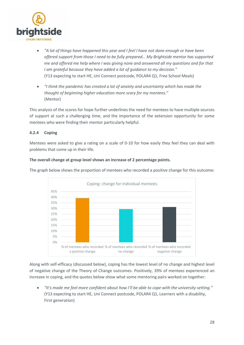

- *"A lot of things have happened this year and I feel I have not done enough or have been offered support from those I need to be fully prepared… My Brightside mentor has supported me and offered me help where I was giving none and answered all my questions and for that I am grateful because they have added a lot of guidance to my decision."* (Y13 expecting to start HE, Uni Connect postcode, POLAR4 Q1, Free School Meals)
- *"I think the pandemic has created a lot of anxiety and uncertainty which has made the thought of beginning higher education more scary for my mentees."* (Mentor)

This analysis of the scores for hope further underlines the need for mentees to have multiple sources of support at such a challenging time, and the importance of the extension opportunity for some mentees who were finding their mentor particularly helpful.

#### **4.2.4 Coping**

Mentees were asked to give a rating on a scale of 0-10 for how easily they feel they can deal with problems that come up in their life.



**The overall change at group level shows an increase of 2 percentage points.** 

Along with self-efficacy (discussed below), coping has the lowest level of no change and highest level of negative change of the Theory of Change outcomes. Positively, 39% of mentees experienced an increase in coping, and the quotes below show what some mentoring pairs worked on together:

 *"It's made me feel more confident about how I'll be able to cope with the university setting."* (Y13 expecting to start HE, Uni Connect postcode, POLAR4 Q1, Learners with a disability, First generation)

## The graph below shows the proportion of mentees who recorded a positive change for this outcome: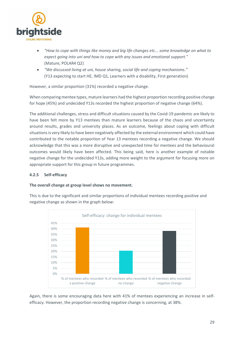

- *"How to cope with things like money and big life changes etc... some knowledge on what to expect going into uni and how to cope with any issues and emotional support."* (Mature, POLAR4 Q2)
- *"We discussed living at uni, house sharing, social life and coping mechanisms."* (Y13 expecting to start HE, IMD Q1, Learners with a disability, First generation)

However, a similar proportion (31%) recorded a negative change.

When comparing mentee types, mature learners had the highest proportion recording positive change for hope (45%) and undecided Y13s recorded the highest proportion of negative change (64%).

The additional challenges, stress and difficult situations caused by the Covid-19 pandemic are likely to have been felt more by Y13 mentees than mature learners because of the chaos and uncertainty around results, grades and university places. As an outcome, feelings about coping with difficult situations is very likely to have been negatively affected by the external environment which could have contributed to the notable proportion of Year 13 mentees recording a negative change. We should acknowledge that this was a more disruptive and unexpected time for mentees and the behavioural outcomes would likely have been affected. This being said, here is another example of notable negative change for the undecided Y13s, adding more weight to the argument for focusing more on appropriate support for this group in future programmes.

#### **4.2.5 Self-efficacy**

#### **The overall change at group level shows no movement.**

This is due to the significant and similar proportions of individual mentees recording positive and negative change as shown in the graph below:



Again, there is some encouraging data here with 41% of mentees experiencing an increase in selfefficacy. However, the proportion recording negative change is concerning, at 38%.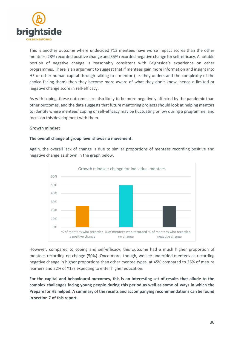

This is another outcome where undecided Y13 mentees have worse impact scores than the other mentees; 23% recorded positive change and 55% recorded negative change for self-efficacy. A notable portion of negative change is reasonably consistent with Brightside's experience on other programmes. There is an argument to suggest that if mentees gain more information and insight into HE or other human capital through talking to a mentor (i.e. they understand the complexity of the choice facing them) then they become more aware of what they don't know, hence a limited or negative change score in self-efficacy.

As with coping, these outcomes are also likely to be more negatively affected by the pandemic than other outcomes, and the data suggests that future mentoring projects should look at helping mentors to identify where mentees' coping or self-efficacy may be fluctuating or low during a programme, and focus on this development with them.

#### **Growth mindset**

#### **The overall change at group level shows no movement.**

Again, the overall lack of change is due to similar proportions of mentees recording positive and negative change as shown in the graph below.



However, compared to coping and self-efficacy, this outcome had a much higher proportion of mentees recording no change (50%). Once more, though, we see undecided mentees as recording negative change in higher proportions than other mentee types, at 45% compared to 26% of mature learners and 22% of Y13s expecting to enter higher education.

**For the capital and behavioural outcomes, this is an interesting set of results that allude to the complex challenges facing young people during this period as well as some of ways in which the Prepare for HE helped. A summary of the results and accompanying recommendations can be found in section 7 of this report.**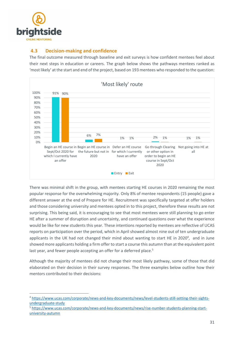

<u>.</u>

#### <span id="page-30-0"></span>**4.3 Decision-making and confidence**

The final outcome measured through baseline and exit surveys is how confident mentees feel about their next steps in education or careers. The graph below shows the pathways mentees ranked as 'most likely' at the start and end of the project, based on 193 mentees who responded to the question:



There was minimal shift in the group, with mentees starting HE courses in 2020 remaining the most popular response for the overwhelming majority. Only 8% of mentee respondents (15 people) gave a different answer at the end of Prepare for HE. Recruitment was specifically targeted at offer holders and those considering university and mentees opted in to this project, therefore these results are not surprising. This being said, it is encouraging to see that most mentees were still planning to go enter HE after a summer of disruption and uncertainty, and continued questions over what the experience would be like for new students this year. These intentions reported by mentees are reflective of UCAS reports on participation over the period, which in April showed almost nine out of ten undergraduate applicants in the UK had not changed their mind about wanting to start HE in 2020<sup>4</sup>, and in June showed more applicants holding a firm offer to start a course this autumn than at the equivalent point last year, and fewer people accepting an offer for a deferred place.<sup>5</sup>

Although the majority of mentees did not change their most likely pathway, some of those that did elaborated on their decision in their survey responses. The three examples below outline how their mentors contributed to their decisions:

<sup>4</sup> [https://www.ucas.com/corporate/news-and-key-documents/news/level-students-still-setting-their-sights](https://www.ucas.com/corporate/news-and-key-documents/news/level-students-still-setting-their-sights-undergraduate-study)[undergraduate-study](https://www.ucas.com/corporate/news-and-key-documents/news/level-students-still-setting-their-sights-undergraduate-study)

<sup>5</sup> [https://www.ucas.com/corporate/news-and-key-documents/news/rise-number-students-planning-start](https://www.ucas.com/corporate/news-and-key-documents/news/rise-number-students-planning-start-university-autumn)[university-autumn](https://www.ucas.com/corporate/news-and-key-documents/news/rise-number-students-planning-start-university-autumn)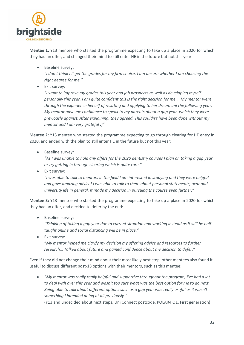

**Mentee 1:** Y13 mentee who started the programme expecting to take up a place in 2020 for which they had an offer, and changed their mind to still enter HE in the future but not this year:

• Baseline survey:

*"I don't think I'll get the grades for my firm choice. I am unsure whether I am choosing the right degree for me."*

Exit survey:

*"I want to improve my grades this year and job prospects as well as developing myself personally this year. I am quite confident this is the right decision for me…. My mentor went through the experience herself of resitting and applying to her dream uni the following year. My mentor gave me confidence to speak to my parents about a gap year, which they were previously against. After explaining, they agreed. This couldn't have been done without my mentor and I am very grateful :)"*

**Mentee 2:** Y13 mentee who started the programme expecting to go through clearing for HE entry in 2020, and ended with the plan to still enter HE in the future but not this year:

Baseline survey*:*

*"As I was unable to hold any offers for the 2020 dentistry courses I plan on taking a gap year or try getting in through clearing which is quite rare."*

**•** Exit survey:

*"I was able to talk to mentors in the field I am interested in studying and they were helpful and gave amazing advice! I was able to talk to them about personal statements, ucat and university life in general. It made my decision in pursuing the course even further."*

**Mentee 3:** Y13 mentee who started the programme expecting to take up a place in 2020 for which they had an offer, and decided to defer by the end:

• Baseline survey:

*"Thinking of taking a gap year due to current situation and working instead as it will be half taught online and social distancing will be in place."*

**•** Exit survey: "*My mentor helped me clarify my decision my offering advice and resources to further research… Talked about future and gained confidence about my decision to defer."* 

Even if they did not change their mind about their most likely next step, other mentees also found it useful to discuss different post-18 options with their mentors, such as this mentee:

 *"My mentor was really really helpful and supportive throughout the program, I've had a lot to deal with over this year and wasn't too sure what was the best option for me to do next. Being able to talk about different options such as a gap year was really useful as it wasn't something I intended doing at all previously."*

(Y13 and undecided about next steps, Uni Connect postcode, POLAR4 Q1, First generation)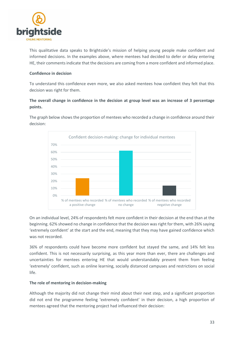

This qualitative data speaks to Brightside's mission of helping young people make confident and informed decisions. In the examples above, where mentees had decided to defer or delay entering HE, their comments indicate that the decisions are coming from a more confident and informed place.

#### **Confidence in decision**

To understand this confidence even more, we also asked mentees how confident they felt that this decision was right for them.

### **The overall change in confidence in the decision at group level was an increase of 3 percentage points.**

The graph below shows the proportion of mentees who recorded a change in confidence around their decision:



On an individual level, 24% of respondents felt more confident in their decision at the end than at the beginning. 62% showed no change in confidence that the decision was right for them, with 26% saying 'extremely confident' at the start and the end, meaning that they may have gained confidence which was not recorded.

36% of respondents could have become more confident but stayed the same, and 14% felt less confident. This is not necessarily surprising, as this year more than ever, there are challenges and uncertainties for mentees entering HE that would understandably prevent them from feeling 'extremely' confident, such as online learning, socially distanced campuses and restrictions on social life.

#### **The role of mentoring in decision-making**

Although the majority did not change their mind about their next step, and a significant proportion did not end the programme feeling 'extremely confident' in their decision, a high proportion of mentees agreed that the mentoring project had influenced their decision: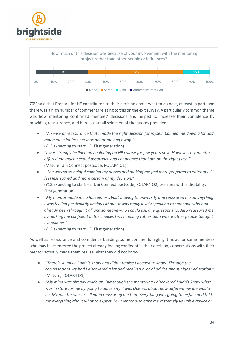



70% said that Prepare for HE contributed to their decision about what to do next, at least in part, and there was a high number of comments relating to this on the exit survey. A particularly common theme was how mentoring confirmed mentees' decisions and helped to increase their confidence by providing reassurance, and here is a small selection of the quotes provided:

- *"A sense of reassurance that I made the right decision for myself. Calmed me down a lot and made me a lot less nervous about moving away."* (Y13 expecting to start HE, First generation)
- *"I was strongly inclined on beginning an HE course for few years now. However, my mentor offered me much needed assurance and confidence that I am on the right path."* (Mature, Uni Connect postcode, POLAR4 Q1)
- *"She was so so helpful calming my nerves and making me feel more prepared to enter uni. I feel less scared and more certain of my decision."* (Y13 expecting to start HE, Uni Connect postcode, POLAR4 Q2, Learners with a disability, First generation)
- *"My mentor made me a lot calmer about moving to university and reassured me on anything I was feeling particularly anxious about. It was really lovely speaking to someone who had already been through it all and someone who I could ask any questions to. Also reassured me by making me confident in the choices I was making rather than where other people thought I should be."*

(Y13 expecting to start HE, First generation)

As well as reassurance and confidence building, some comments highlight how, for some mentees who may have entered the project already feeling confident in their decision, conversations with their mentor actually made them realise what they did not know:

- *"There's so much I didn't know and didn't realise I needed to know. Through the conversations we had I discovered a lot and received a lot of advice about higher education."*  (Mature, POLAR4 Q1)
- *"My mind was already made up. But though the mentoring I discovered I didn't know what was in store for me by going to university. I was clueless about how different my life would be. My mentor was excellent in reassuring me that everything was going to be fine and told me everything about what to expect. My mentor also gave me extremely valuable advice on*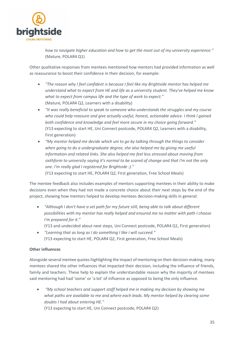

*how to navigate higher education and how to get the most out of my university experience."* (Mature, POLAR4 Q1)

Other qualitative responses from mentees mentioned how mentors had provided information as well as reassurance to boost their confidence in their decision, for example:

- *"The reason why I feel confident is because I feel like my Brightside mentor has helped me understand what to expect from HE and life as a university student. They've helped me know what to expect from campus life and the type of work to expect."*  (Mature, POLAR4 Q2, Learners with a disability)
- *"It was really beneficial to speak to someone who understands the struggles and my course who could help reassure and give actually useful, honest, actionable advice. I think I gained both confidence and knowledge and feel more secure in my choice going forward."* (Y13 expecting to start HE, Uni Connect postcode, POLAR4 Q2, Learners with a disability, First generation)
- *"My mentor helped me decide which uni to go by talking through the things to consider when going to do a undergraduate degree, she also helped me by giving me useful information and related links. She also helped me feel less stressed about moving from sixthform to university saying it's normal to be scared of change and that I'm not the only one. I'm really glad I registered for Brightside :)."* (Y13 expecting to start HE, POLAR4 Q2, First generation, Free School Meals)

The mentee feedback also includes examples of mentors supporting mentees in their ability to make decisions even when they had not made a concrete choice about their next steps by the end of the project, showing how mentors helped to develop mentees decision-making skills in general:

- *"Although I don't have a set path for my future still, being able to talk about different possibilities with my mentor has really helped and ensured me no matter with path I choose I'm prepared for it."*
	- (Y13 and undecided about next steps, Uni Connect postcode, POLAR4 Q1, First generation)
- *"Learning that as long as I do something I like I will succeed."* (Y13 expecting to start HE, POLAR4 Q2, First generation, Free School Meals)

#### **Other influences**

Alongside several mentee quotes highlighting the impact of mentoring on their decision-making, many mentees shared the other influences that impacted their decision, including the influence of friends, family and teachers. These help to explain the understandable reason why the majority of mentees said mentoring had had 'some' or 'a lot' of influence as opposed to being the only influence.

 *"My school teachers and support staff helped me in making my decision by showing me what paths are available to me and where each leads. My mentor helped by clearing some doubts I had about entering HE."*

(Y13 expecting to start HE, Uni Connect postcode, POLAR4 Q2)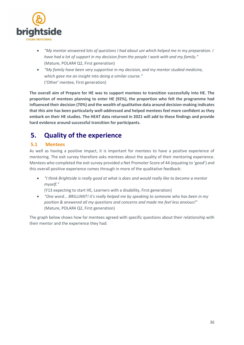

- *"My mentor answered lots of questions I had about uni which helped me in my preparation. I have had a lot of support in my decision from the people I work with and my family."*  (Mature, POLAR4 Q2, First generation)
- *"My family have been very supportive in my decision, and my mentor studied medicine, which gave me an insight into doing a similar course."* ('Other' mentee, First generation)

**The overall aim of Prepare for HE was to support mentees to transition successfully into HE. The proportion of mentees planning to enter HE (92%), the proportion who felt the programme had influenced their decision (70%) and the wealth of qualitative data around decision-making indicates that this aim has been particularly well-addressed and helped mentees feel more confident as they embark on their HE studies. The HEAT data returned in 2021 will add to these findings and provide hard evidence around successful transition for participants.** 

# <span id="page-35-0"></span>**5. Quality of the experience**

## <span id="page-35-1"></span>**5.1 Mentees**

As well as having a positive impact, it is important for mentees to have a positive experience of mentoring. The exit survey therefore asks mentees about the quality of their mentoring experience. Mentees who completed the exit survey provided a Net Promoter Score of 44 (equating to 'good') and this overall positive experience comes through in more of the qualitative feedback:

 *"I think Brightside is really good at what is does and would really like to become a mentor myself."*

(Y13 expecting to start HE, Learners with a disability, First generation)

 *"One word... BRILLIANT! it's really helped me by speaking to someone who has been in my position & answered all my questions and concerns and made me feel less anxious!"* (Mature, POLAR4 Q2, First generation)

The graph below shows how far mentees agreed with specific questions about their relationship with their mentor and the experience they had: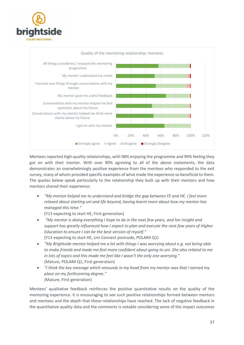



Mentees reported high-quality relationships, with 98% enjoying the programme and 99% feeling they got on with their mentor. With over 90% agreeing to all of the above statements, the data demonstrates an overwhelmingly positive experience from the mentees who responded to the exit survey, many of whom provided specific examples of what made the experience so beneficial to them. The quotes below speak particularly to the relationship they built up with their mentors and how mentors shared their experience:

 *"My mentor helped me to understand and bridge the gap between FE and HE. I feel more relaxed about starting uni and life beyond, having learnt more about how my mentor has managed this time."*

(Y13 expecting to start HE, First generation)

- *"My mentor is doing everything I hope to do in the next few years, and her insight and support has greatly influenced how I expect to plan and execute the next few years of Higher Education to ensure I can be the best version of myself."*
	- (Y13 expecting to start HE, Uni Connect postcode, POLAR4 Q1)
- *"My Brightside mentor helped me a lot with things I was worrying about e.g. not being able to make friends and made me feel more confident about going to uni. She also related to me in lots of topics and this made me feel like I wasn't the only one worrying."* (Mature, POLAR4 Q1, First generation)
- *"I think the key message which resounds in my head from my mentor was that I earned my place on my forthcoming degree." (*Mature, First generation)

Mentees' qualitative feedback reinforces the positive quantitative results on the quality of the mentoring experience. It is encouraging to see such positive relationships formed between mentors and mentees and the depth that these relationships have reached. The lack of negative feedback in the quantitative quality data and the comments is notable considering some of the impact outcomes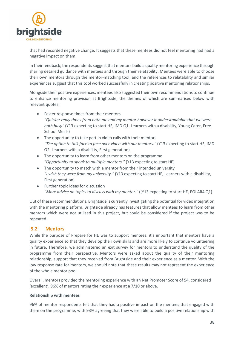

that had recorded negative change. It suggests that these mentees did not feel mentoring had had a negative impact on them.

In their feedback, the respondents suggest that mentors build a quality mentoring experience through sharing detailed guidance with mentees and through their relatability. Mentees were able to choose their own mentors through the mentor-matching tool, and the references to relatability and similar experiences suggest that this tool worked successfully in creating positive mentoring relationships.

Alongside their positive experiences, mentees also suggested their own recommendations to continue to enhance mentoring provision at Brightside, the themes of which are summarised below with relevant quotes:

- Faster response times from their mentors *"Quicker reply times from both me and my mentor however it understandable that we were both busy"* (Y13 expecting to start HE, IMD Q1, Learners with a disability, Young Carer, Free School Meals)
- The opportunity to take part in video calls with their mentors *"The option to talk face to face over video with our mentors."* (Y13 expecting to start HE, IMD Q2, Learners with a disability, First generation)
- The opportunity to learn from other mentors on the programme *"Opportunity to speak to multiple mentors."* (Y13 expecting to start HE)
- The opportunity to match with a mentor from their intended university *"I wish they were from my university."* (Y13 expecting to start HE, Learners with a disability, First generation)
- Further topic ideas for discussion *"More advice on topics to discuss with my mentor."* ((Y13 expecting to start HE, POLAR4 Q1)

Out of these recommendations, Brightside is currently investigating the potential for video integration with the mentoring platform. Brightside already has features that allow mentees to learn from other mentors which were not utilised in this project, but could be considered if the project was to be repeated.

## <span id="page-37-0"></span>**5.2 Mentors**

While the purpose of Prepare for HE was to support mentees, it's important that mentors have a quality experience so that they develop their own skills and are more likely to continue volunteering in future. Therefore, we administered an exit survey for mentors to understand the quality of the programme from their perspective. Mentors were asked about the quality of their mentoring relationship, support that they received from Brightside and their experience as a mentor. With the low response rate for mentors, we should note that these results may not represent the experience of the whole mentor pool.

Overall, mentors provided the mentoring experience with an Net Promoter Score of 54, considered 'excellent'. 96% of mentors rating their experience at a 7/10 or above.

#### **Relationship with mentees**

96% of mentor respondents felt that they had a positive impact on the mentees that engaged with them on the programme, with 93% agreeing that they were able to build a positive relationship with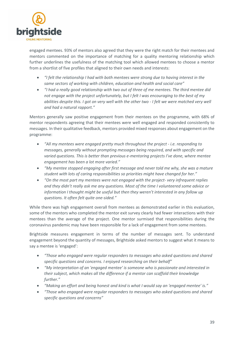

engaged mentees. 93% of mentors also agreed that they were the right match for their mentees and mentors commented on the importance of matching for a quality mentoring relationship which further underlines the usefulness of the matching tool which allowed mentees to choose a mentor from a shortlist of five profiles that aligned to their own needs and interests:

- *"I felt the relationship I had with both mentees were strong due to having interest in the same sectors of working with children, education and health and social care"*
- *"I had a really good relationship with two out of three of me mentees. The third mentee did not engage with the project unfortunately, but I felt I was encouraging to the best of my abilities despite this. I got on very well with the other two - I felt we were matched very well and had a natural rapport."*

Mentors generally saw positive engagement from their mentees on the programme, with 68% of mentor respondents agreeing that their mentees were well engaged and responded consistently to messages. In their qualitative feedback, mentors provided mixed responses about engagement on the programme:

- *"All my mentees were engaged pretty much throughout the project - i.e. responding to messages, generally without prompting messages being required, and with specific and varied questions. This is better than previous e-mentoring projects I've done, where mentee engagement has been a lot more varied."*
- *"My mentee stopped engaging after first message and never told me why, she was a mature student with lots of caring responsibilities so priorities might have changed for her."*
- *"On the most part my mentees were not engaged with the project- very infrequent replies and they didn't really ask me any questions. Most of the time I volunteered some advice or information I thought might be useful but then they weren't interested in any follow up questions. It often felt quite one-sided."*

While there was high engagement overall from mentees as demonstrated earlier in this evaluation, some of the mentors who completed the mentor exit survey clearly had fewer interactions with their mentees than the average of the project. One mentor surmised that responsibilities during the coronavirus pandemic may have been responsible for a lack of engagement from some mentees.

Brightside measures engagement in terms of the number of messages sent. To understand engagement beyond the quantity of messages, Brightside asked mentors to suggest what it means to say a mentee is 'engaged':

- *"Those who engaged were regular responders to messages who asked questions and shared specific questions and concerns. I enjoyed researching on their behalf"*
- *"My interpretation of an 'engaged mentee' is someone who is passionate and interested in their subject, which makes all the difference if a mentor can scaffold their knowledge further."*
- *"Making an effort and being honest and kind is what I would say an 'engaged mentee' is."*
- *"Those who engaged were regular responders to messages who asked questions and shared specific questions and concerns"*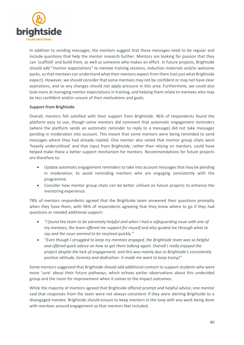

In addition to sending messages, the mentors suggest that these messages need to be regular and include questions that help the mentor research further. Mentors are looking for passion that they can 'scaffold' and build from, as well as someone who makes an effort. In future projects, Brightside should add "mentor expectations" to mentee training sessions, induction materials and/or welcome packs, so that mentees can understand what their mentors expect from them (not just what Brightside expect). However, we should consider that some mentees may not be confident or may not have clear aspirations, and so any changes should not apply pressure in this area. Furthermore, we could also look more at managing mentor expectations in training, and helping them relate to mentees who may be less confident and/or unsure of their motivations and goals.

#### **Support from Brightside**

Overall, mentors felt satisfied with their support from Brightside. 96% of respondents found the platform easy to use, though some mentors did comment that automatic engagement reminders (where the platform sends an automatic reminder to reply to a message) did not take messages pending in moderation into account. This meant that some mentors were being reminded to send messages where they had already replied. One mentor also noted that mentor group chats were 'heavily underutilised' and that input from Brightside, rather than relying on mentors, could have helped make these a better support mechanism for mentors. Recommendations for future projects are therefore to:

- Update automatic engagement reminders to take into account messages that may be pending in moderation, to avoid reminding mentors who are engaging consistently with the programme.
- Consider how mentor group chats can be better utilised on future projects to enhance the mentoring experience.

78% of mentors respondents agreed that the Brightside team answered their questions promptly when they have them, with 96% of respondents agreeing that they knew where to go if they had questions or needed additional support:

- *"I found the team to be extremely helpful and when I had a safeguarding issue with one of my mentees, the team offered me support for myself and also guided me through what to say and the issue seemed to be resolved quickly."*
- *"Even though I struggled to keep my mentees engaged, the Brightside team was so helpful and offered quick advice on how to get them talking again. Overall I really enjoyed the project despite the lack of engagement, and this was mainly due to Brightside's consistently positive attitude, honesty and dedication- it made me want to keep trying!"*

Some mentors suggested that Brightside should add additional content to support students who were more 'sure' about their future pathways, which echoes earlier observations about this undecided group and the room for improvement when it comes to the impact outcomes.

While the majority of mentors agreed that Brightside offered prompt and helpful advice, one mentor said that responses from the team were not always consistent if they were alerting Brightside to a disengaged mentee. Brightside should ensure to keep mentors in the loop with any work being done with mentees around engagement so that mentors feel included.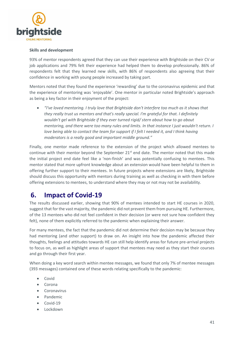

#### **Skills and development**

93% of mentor respondents agreed that they can use their experience with Brightside on their CV or job applications and 79% felt their experience had helped them to develop professionally. 86% of respondents felt that they learned new skills, with 86% of respondents also agreeing that their confidence in working with young people increased by taking part.

Mentors noted that they found the experience 'rewarding' due to the coronavirus epidemic and that the experience of mentoring was 'enjoyable'. One mentor in particular noted Brightside's approach as being a key factor in their enjoyment of the project:

 *"I've loved mentoring. I truly love that Brightside don't interfere too much as it shows that they really trust us mentors and that's really special. I'm grateful for that. I definitely wouldn't gel with Brightside if they ever turned rigid/ stern about how to go about mentoring, and there were too many rules and limits. In that instance I just wouldn't return. I love being able to contact the team for support if I felt I needed it, and I think having moderators is a really good and important middle ground."*

Finally, one mentor made reference to the extension of the project which allowed mentees to continue with their mentor beyond the September  $21^{st}$  end date. The mentor noted that this made the initial project end date feel like a 'non-finish' and was potentially confusing to mentees. This mentor stated that more upfront knowledge about an extension would have been helpful to them in offering further support to their mentees. In future projects where extensions are likely, Brightside should discuss this opportunity with mentors during training as well as checking in with them before offering extensions to mentees, to understand where they may or not may not be availability.

# <span id="page-40-0"></span>**6. Impact of Covid-19**

The results discussed earlier, showing that 90% of mentees intended to start HE courses in 2020, suggest that for the vast majority, the pandemic did not prevent them from pursuing HE. Furthermore, of the 13 mentees who did not feel confident in their decision (or were not sure how confident they felt), none of them explicitly referred to the pandemic when explaining their answer.

For many mentees, the fact that the pandemic did not determine their decision may be because they had mentoring (and other support) to draw on. An insight into how the pandemic affected their thoughts, feelings and attitudes towards HE can still help identify areas for future pre-arrival projects to focus on, as well as highlight areas of support that mentees may need as they start their courses and go through their first year.

When doing a key word search within mentee messages, we found that only 7% of mentee messages (393 messages) contained one of these words relating specifically to the pandemic:

- Covid
- $C^{\text{trona}}$
- **•** Coronavirus
- Pandemic
- Covid-19
- Lockdown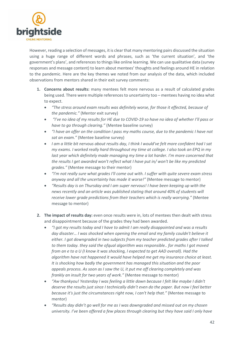

However, reading a selection of messages, it is clear that many mentoring pairs discussed the situation using a huge range of different words and phrases, such as 'the current situation', and 'the government's plans', and references to things like online learning. We can use qualitative data (survey responses and message content) to learn about mentees' thoughts and feelings around HE in relation to the pandemic. Here are the key themes we noted from our analysis of the data, which included observations from mentors shared in their exit survey comments:

- **1. Concerns about results:** many mentees felt more nervous as a result of calculated grades being used. There were multiple references to uncertainty too – mentees having no idea what to expect.
	- *"The stress around exam results was definitely worse, for those it effected, because of the pandemic."* (Mentor exit survey)
	- *"I've no idea of my results for HE due to COVID-19 so have no idea of whether I'll pass or have to go through clearing."* (Mentee baseline survey)
	- *"I have an offer on the condition I pass my maths course, due to the pandemic I have not sat an exam."* (Mentee baseline survey)
	- *I am a little bit nervous about results day, I think I would've felt more confident had I sat my exams. I worked really hard throughout my time at college. I also took an EPQ in my last year which definitely made managing my time a lot harder. I'm more concerned that the results I get awarded won't reflect what I have put in/ won't be like my predicted grades."* (Mentee message to their mentor)
	- *"I'm not really sure what grades I'll come out with. I suffer with quite severe exam stress anyway and all the uncertainty has made it worse!"* (Mentee message to mentor)
	- *"Results day is on Thursday and I am super nervous! I have been keeping up with the news recently and an article was published stating that around 40% of students will receive lower grade predictions from their teachers which is really worrying."* (Mentee message to mentor)
- **2. The impact of results day:** even once results were in, lots of mentees then dealt with stress and disappointment because of the grades they had been awarded.
	- *"I got my results today and I have to admit I am really disappointed and was a results day disaster… I was shocked when opening the email and my family couldn't believe it either. I got downgraded in two subjects from my teacher predicted grades after I talked to them today. they said the ofqual algorithm was responsible.. for maths I got moved from an e to a U (I know it was shocking, I expected to get AAD overall). Had the algorithm have not happened it would have helped me get my insurance choice at least. It is shocking how badly the government has managed this situation and the poor appeals process. As soon as I saw the U, it put me off clearing completely and was frankly an insult for two years of work."* (Mentee message to mentor)
	- *"Aw thankyou! Yesterday I was feeling a little down because I felt like maybe I didn't deserve the results just since I technically didn't even do the paper. But now I feel better because it's just the circumstances right now, I can't help that."* (Mentee message to mentor)
	- *"Results day didn't go well for me as I was downgraded and missed out on my chosen university. I've been offered a few places through clearing but they have said I only have*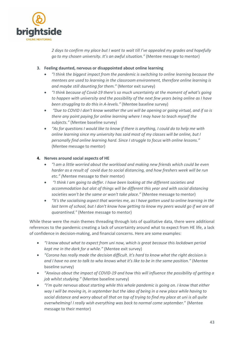

*2 days to confirm my place but I want to wait till I've appealed my grades and hopefully go to my chosen university. It's an awful situation."* (Mentee message to mentor)

- **3. Feeling daunted, nervous or disappointed about online learning**
	- *"I think the biggest impact from the pandemic is switching to online learning because the mentees are used to learning in the classroom environment, therefore online learning is and maybe still daunting for them."* (Mentor exit survey)
	- *"I think because of Covid-19 there's so much uncertainty at the moment of what's going to happen with university and the possibility of the next few years being online as I have been struggling to do this in A-levels."* (Mentee baseline survey)
	- *"Due to COVID I don't know weather the uni will be opening or going virtual, and if so is there any point paying for online learning where I may have to teach myself the subjects."* (Mentee baseline survey)
	- *"As for questions I would like to know if there is anything, I could do to help me with online learning since my university has said most of my classes will be online, but I personally find online learning hard. Since I struggle to focus with online lessons."* (Mentee message to mentor)

#### **4. Nerves around social aspects of HE**

- *"I am a little worried about the workload and making new friends which could be even harder as a result of covid due to social distancing, and how freshers week will be run etc." (*Mentee message to their mentor)
- *"I think I am going to deffer. I have been looking at the different societies and accommodation but alot of things will be different this year and with social distancing societies won't be the same or won't take place."* (Mentee message to mentor)
- *"It's the socialising aspect that worries me, as I have gotten used to online learning in the last term of school, but I don't know how getting to know my peers would go if we are all quarantined."* (Mentee message to mentor)

While these were the main themes threading through lots of qualitative data, there were additional references to the pandemic creating a lack of uncertainty around what to expect from HE life, a lack of confidence in decision-making, and financial concerns. Here are some examples:

- *"I know about what to expect from uni now, which is great because this lockdown period kept me in the dark for a while."* (Mentee exit survey)
- *"Corona has really made the decision difficult. It's hard to know what the right decision is and I have no one to talk to who knows what it's like to be in the same position."* (Mentee baseline survey)
- *"Anxious about the impact of COVID-19 and how this will influence the possibility of getting a job whilst studying."* (Mentee baseline survey)
- *"I'm quite nervous about starting while this whole pandemic is going on. I know that either way I will be moving in, in september but the idea of being in a new place while having to social distance and worry about all that on top of trying to find my place at uni is all quite overwhelming! I really wish everything was back to normal come september.*" (Mentee message to their mentor)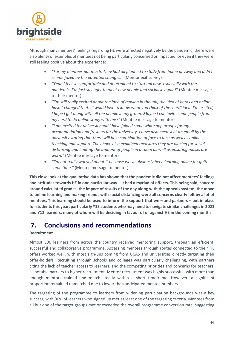

Although many mentees' feelings regarding HE were affected negatively by the pandemic, there were also plenty of examples of mentees not being particularly concerned or impacted, or even if they were, still feeling positive about the experience:

- *"For my mentees not much. They had all planned to study from home anyway and didn't seeme fazed by the potential changes."* (Mentor exit survey)
- *"Yeah I feel so comfortable and determined to start uni now, especially with the pandemic. I'm just so eager to meet new people and socialise again!*" (Mentee message to their mentor)
- *"I'm still really excited about the idea of moving in though, the idea of herds and online hasn't changed that… I would love to know what you think of the 'herd' idea. I'm excited, I hope I get along with all the people in my group. Maybe I can invite some people from my herd to do online study with me?"* (Mentee message to mentor)
- *"I am excited for university and I have joined some whatsapp groups for my accommodation and freshers for the university. I have also been sent an email by the university stating that there will be a combination of face to face as well as online teaching and support. They have also explained measures they are placing for social distancing and limiting the amount of people in a room as well as ensuring masks are worn."* (Mentee message to mentor)
- *"I'm not really worried about it because we've obviously been learning online for quite some time."* (Mentee message to mentor)

**This close look at the qualitative data has shown that the pandemic did not affect mentees' feelings and attitudes towards HE in one particular way – it had a myriad of effects. This being said, concern around calculated grades, the impact of results of the day along with the appeals system, the move to online learning and making friends with social distancing were all concerns clearly felt by a lot of mentees. This learning should be used to inform the support that we – and partners – put in place for students this year, particularly Y13 students who may need to navigate similar challenges in 2021 and Y12 learners, many of whom will be deciding in favour of or against HE in the coming months.** 

# <span id="page-43-0"></span>**7. Conclusions and recommendations**

#### **Recruitment**

Almost 500 learners from across the country received mentoring support, through an efficient, successful and collaborative programme. Accessing mentees through routes connected to their HE offers worked well, with most sign-ups coming from UCAS and universities directly targeting their offer-holders. Recruiting through schools and colleges was particularly challenging, with partners citing the lack of teacher access to learners, and the competing priorities and concerns for teachers, as notable barriers to higher recruitment. Mentor recruitment was highly successful, with more than enough mentors trained and match—ready within a short timeframe. However, a significant proportion remained unmatched due to lower than anticipated mentee numbers.

The targeting of the programme to learners from widening participation backgrounds was a key success, with 90% of learners who signed up met at least one of the targeting criteria. Mentees from all but one of the target groups met or exceeded the overall programme conversion rate, suggesting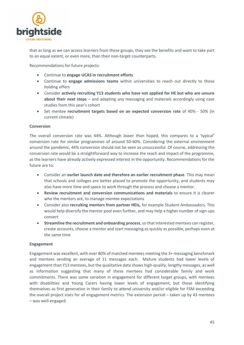

that as long as we can access learners from these groups, they see the benefits and want to take part to an equal extent, or even more, than their non-target counterparts.

Recommendations for future projects:

- Continue to **engage UCAS in recruitment efforts**
- Continue to **engage admissions teams** within universities to reach out directly to those holding offers
- Consider **actively recruiting Y13 students who have not applied for HE but who are unsure about their next steps** – and adapting any messaging and materials accordingly using case studies from this year's cohort
- Set mentee **recruitment targets based on an expected conversion rate** of 40% 50% (in current climate)

#### **Conversion**

The overall conversion rate was 44%. Although lower than hoped, this compares to a 'typical' conversion rate for similar programmes of around 50-60%. Considering the external environment around the pandemic, 44% conversion should not be seen as unsuccessful. Of course, addressing the conversion rate would be a straightforward way to increase the reach and impact of the programme, as the learners have already actively expressed interest in the opportunity. Recommendations for the future are to:

- Consider an **earlier launch date and therefore an earlier recruitment phase**. This may mean that schools and colleges are better placed to promote the opportunity, and students may also have more time and space to work through the process and choose a mentor.
- **Review recruitment and conversion communications and materials** to ensure it is clearer who the mentors are, to manage mentee expectations
- Consider also **recruiting mentors from partner HEIs,** for example Student Ambassadors. This would help diversify the mentor pool even further, and may help a higher number of sign-ups convert
- **Streamline the recruitment and onboarding process**, so that interested mentees can register, create accounts, choose a mentor and start messaging as quickly as possible, perhaps even at the same time

#### **Engagement**

Engagement was excellent, with over 80% of matched mentees meeting the 3+ messaging benchmark and mentees sending an average of 11 messages each. Mature students had lower levels of engagement than Y13 mentees, but the qualitative data shows high-quality, lengthy messages, as well as information suggesting that many of these mentees had considerable family and work commitments. There was some variation in engagement for different target groups, with mentees with disabilities and Young Carers having lower levels of engagement, but those identifying themselves as first generation in their family to attend university and/or eligible for FSM exceeding the overall project stats for all engagement metrics. The extension period – taken up by 43 mentees – was well-engaged.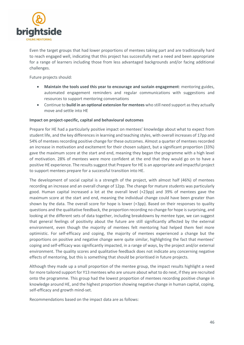

Even the target groups that had lower proportions of mentees taking part and are traditionally hard to reach engaged well, indicating that this project has successfully met a need and been appropriate for a range of learners including those from less advantaged backgrounds and/or facing additional challenges.

Future projects should:

- **Maintain the tools used this year to encourage and sustain engagement**: mentoring guides, automated engagement reminders and regular communications with suggestions and resources to support mentoring conversations
- Continue to **build in an optional extension for mentees** who still need support as they actually move and settle into HE

#### **Impact on project-specific, capital and behavioural outcomes**

Prepare for HE had a particularly positive impact on mentees' knowledge about what to expect from student life, and the key differences in learning and teaching styles, with overall increases of 17pp and 54% of mentees recording positive change for these outcomes. Almost a quarter of mentees recorded an increase in motivation and excitement for their chosen subject, but a significant proportion (33%) gave the maximum score at the start and end, meaning they began the programme with a high level of motivation. 28% of mentees were more confident at the end that they would go on to have a positive HE experience. The results suggest that Prepare for HE is an appropriate and impactful project to support mentees prepare for a successful transition into HE.

The development of social capital is a strength of the project, with almost half (46%) of mentees recording an increase and an overall change of 12pp. The change for mature students was particularly good. Human capital increased a lot at the overall level (+23pp) and 39% of mentees gave the maximum score at the start and end, meaning the individual change could have been greater than shown by the data. The overall score for hope is lower (+3pp). Based on their responses to quality questions and the qualitative feedback, the proportion recording no change for hope is surprising, and looking at the different sets of data together, including breakdowns by mentee type, we can suggest that general feelings of positivity about the future are still significantly affected by the external environment, even though the majority of mentees felt mentoring had helped them feel more optimistic. For self-efficacy and coping, the majority of mentees experienced a change but the proportions on positive and negative change were quite similar, highlighting the fact that mentees' coping and self-efficacy was significantly impacted, in a range of ways, by the project and/or external environment. The quality scores and qualitative feedback does not indicate any concerning negative effects of mentoring, but this is something that should be prioritised in future projects.

Although they made up a small proportion of the mentee group, the impact results highlight a need for more tailored support for Y13 mentees who are unsure about what to do next, if they are recruited onto the programme. This group had the lowest proportion of mentees recording positive change in knowledge around HE, and the highest proportion showing negative change in human capital, coping, self-efficacy and growth mind-set.

Recommendations based on the impact data are as follows: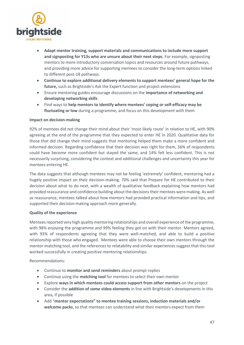

- **Adapt mentor training, support materials and communications to include more support and signposting for Y13s who are unsure about their next steps**. For example, signposting mentors to more introductory conversation topics and resources around future pathways, and providing more advice for supporting mentees to consider the long-term options linked to different post-18 pathways.
- **Continue to explore additional delivery elements to support mentees' general hope for the future,** such as Brightside's Ask the Expert function and project extensions
- Ensure mentoring guides encourage discussions on the **importance of networking and developing networking skills**
- Find ways to **help mentors to identify where mentees' coping or self-efficacy may be fluctuating or low** during a programme, and focus on this development with them

#### **Impact on decision-making**

92% of mentees did not change their mind about their 'most-likely route' in relation to HE, with 90% agreeing at the end of the programme that they expected to enter HE in 2020. Qualitative data for those that did change their mind suggests that mentoring helped them make a more confident and informed decision. Regarding confidence that their decision was right for them, 36% of respondents could have become more confident but stayed the same, and 14% felt less confident. This is not necessarily surprising, considering the context and additional challenges and uncertainty this year for mentees entering HE.

The data suggests that although mentees may not be feeling 'extremely' confident, mentoring had a hugely positive impact on their decision-making. 70% said that Prepare for HE contributed to their decision about what to do next, with a wealth of qualitative feedback explaining how mentors had provided reassurance and confidence building about the decisions their mentees were making. As well as reassurance, mentees talked about how mentors had provided practical information and tips, and supported their decision-making approach more generally.

#### **Quality of the experience**

Mentees reported very high quality mentoring relationships and overall experience of the programme, with 98% enjoying the programme and 99% feeling they got on with their mentor. Mentors agreed, with 93% of respondents agreeing that they were well-matched, and able to build a positive relationship with those who engaged. Mentees were able to choose their own mentors through the mentor-matching tool, and the references to relatability and similar experiences suggest that this tool worked successfully in creating positive mentoring relationships.

Recommendations:

- Continue to **monitor and send reminders** about prompt replies
- Continue using the **matching tool** for mentees to select their own mentor
- Explore **ways in which mentees could access support from other mentors** on the project
- Consider the **addition of some video elements** in line with Brightside's developments in this area, if possible
- Add "**mentor expectations" to mentee training sessions, induction materials and/or welcome packs**, so that mentees can understand what their mentors expect from them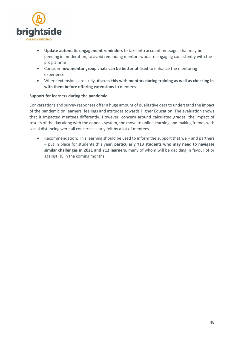

- **Update automatic engagement reminders** to take into account messages that may be pending in moderation, to avoid reminding mentors who are engaging consistently with the programme
- Consider **how mentor group chats can be better utilised** to enhance the mentoring experience.
- Where extensions are likely, **discuss this with mentors during training as well as checking in with them before offering extensions** to mentees

#### **Support for learners during the pandemic**

Conversations and survey responses offer a huge amount of qualitative data to understand the impact of the pandemic on learners' feelings and attitudes towards Higher Education. The evaluation shows that it impacted mentees differently. However, concern around calculated grades, the impact of results of the day along with the appeals system, the move to online learning and making friends with social distancing were all concerns clearly felt by a lot of mentees.

 Recommendation: This learning should be used to inform the support that we – and partners – put in place for students this year, **particularly Y13 students who may need to navigate similar challenges in 2021 and Y12 learners**, many of whom will be deciding in favour of or against HE in the coming months.